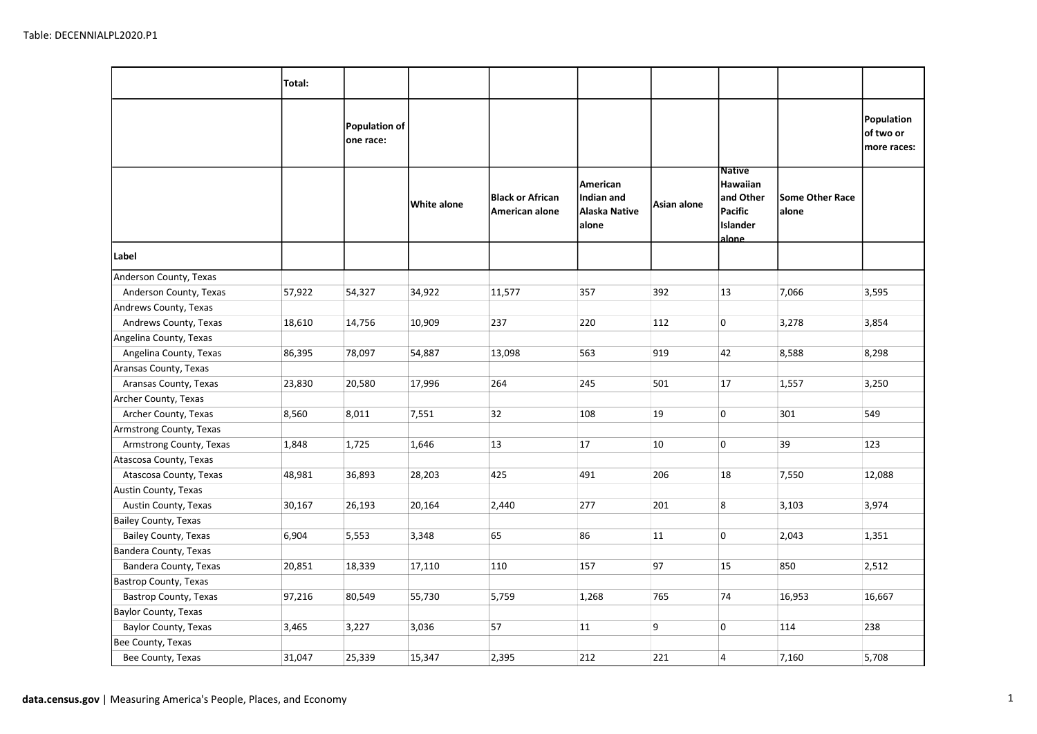|                              | Total: |                                   |             |                                           |                                                         |             |                                                                                |                                 |                                        |
|------------------------------|--------|-----------------------------------|-------------|-------------------------------------------|---------------------------------------------------------|-------------|--------------------------------------------------------------------------------|---------------------------------|----------------------------------------|
|                              |        | <b>Population of</b><br>one race: |             |                                           |                                                         |             |                                                                                |                                 | Population<br>of two or<br>more races: |
|                              |        |                                   | White alone | <b>Black or African</b><br>American alone | American<br>Indian and<br><b>Alaska Native</b><br>alone | Asian alone | <b>Native</b><br>Hawaiian<br>and Other <br>Pacific<br><b>Islander</b><br>alone | <b>Some Other Race</b><br>alone |                                        |
| Label                        |        |                                   |             |                                           |                                                         |             |                                                                                |                                 |                                        |
| Anderson County, Texas       |        |                                   |             |                                           |                                                         |             |                                                                                |                                 |                                        |
| Anderson County, Texas       | 57,922 | 54,327                            | 34,922      | 11,577                                    | 357                                                     | 392         | 13                                                                             | 7,066                           | 3,595                                  |
| Andrews County, Texas        |        |                                   |             |                                           |                                                         |             |                                                                                |                                 |                                        |
| Andrews County, Texas        | 18,610 | 14,756                            | 10,909      | 237                                       | 220                                                     | 112         | 0                                                                              | 3,278                           | 3,854                                  |
| Angelina County, Texas       |        |                                   |             |                                           |                                                         |             |                                                                                |                                 |                                        |
| Angelina County, Texas       | 86,395 | 78,097                            | 54,887      | 13,098                                    | 563                                                     | 919         | 42                                                                             | 8,588                           | 8,298                                  |
| Aransas County, Texas        |        |                                   |             |                                           |                                                         |             |                                                                                |                                 |                                        |
| Aransas County, Texas        | 23,830 | 20,580                            | 17,996      | 264                                       | 245                                                     | 501         | 17                                                                             | 1,557                           | 3,250                                  |
| Archer County, Texas         |        |                                   |             |                                           |                                                         |             |                                                                                |                                 |                                        |
| Archer County, Texas         | 8,560  | 8,011                             | 7,551       | 32                                        | 108                                                     | 19          | 0                                                                              | 301                             | 549                                    |
| Armstrong County, Texas      |        |                                   |             |                                           |                                                         |             |                                                                                |                                 |                                        |
| Armstrong County, Texas      | 1,848  | 1,725                             | 1,646       | 13                                        | 17                                                      | 10          | 0                                                                              | 39                              | 123                                    |
| Atascosa County, Texas       |        |                                   |             |                                           |                                                         |             |                                                                                |                                 |                                        |
| Atascosa County, Texas       | 48,981 | 36,893                            | 28,203      | 425                                       | 491                                                     | 206         | 18                                                                             | 7,550                           | 12,088                                 |
| Austin County, Texas         |        |                                   |             |                                           |                                                         |             |                                                                                |                                 |                                        |
| Austin County, Texas         | 30,167 | 26,193                            | 20,164      | 2,440                                     | 277                                                     | 201         | $\boldsymbol{8}$                                                               | 3,103                           | 3,974                                  |
| <b>Bailey County, Texas</b>  |        |                                   |             |                                           |                                                         |             |                                                                                |                                 |                                        |
| Bailey County, Texas         | 6,904  | 5,553                             | 3,348       | 65                                        | 86                                                      | 11          | 0                                                                              | 2,043                           | 1,351                                  |
| Bandera County, Texas        |        |                                   |             |                                           |                                                         |             |                                                                                |                                 |                                        |
| Bandera County, Texas        | 20,851 | 18,339                            | 17,110      | 110                                       | 157                                                     | 97          | 15                                                                             | 850                             | 2,512                                  |
| <b>Bastrop County, Texas</b> |        |                                   |             |                                           |                                                         |             |                                                                                |                                 |                                        |
| Bastrop County, Texas        | 97,216 | 80,549                            | 55,730      | 5,759                                     | 1,268                                                   | 765         | 74                                                                             | 16,953                          | 16,667                                 |
| Baylor County, Texas         |        |                                   |             |                                           |                                                         |             |                                                                                |                                 |                                        |
| Baylor County, Texas         | 3,465  | 3,227                             | 3,036       | 57                                        | 11                                                      | 9           | 0                                                                              | 114                             | 238                                    |
| Bee County, Texas            |        |                                   |             |                                           |                                                         |             |                                                                                |                                 |                                        |
| Bee County, Texas            | 31,047 | 25,339                            | 15,347      | 2,395                                     | 212                                                     | 221         | $\overline{4}$                                                                 | 7,160                           | 5,708                                  |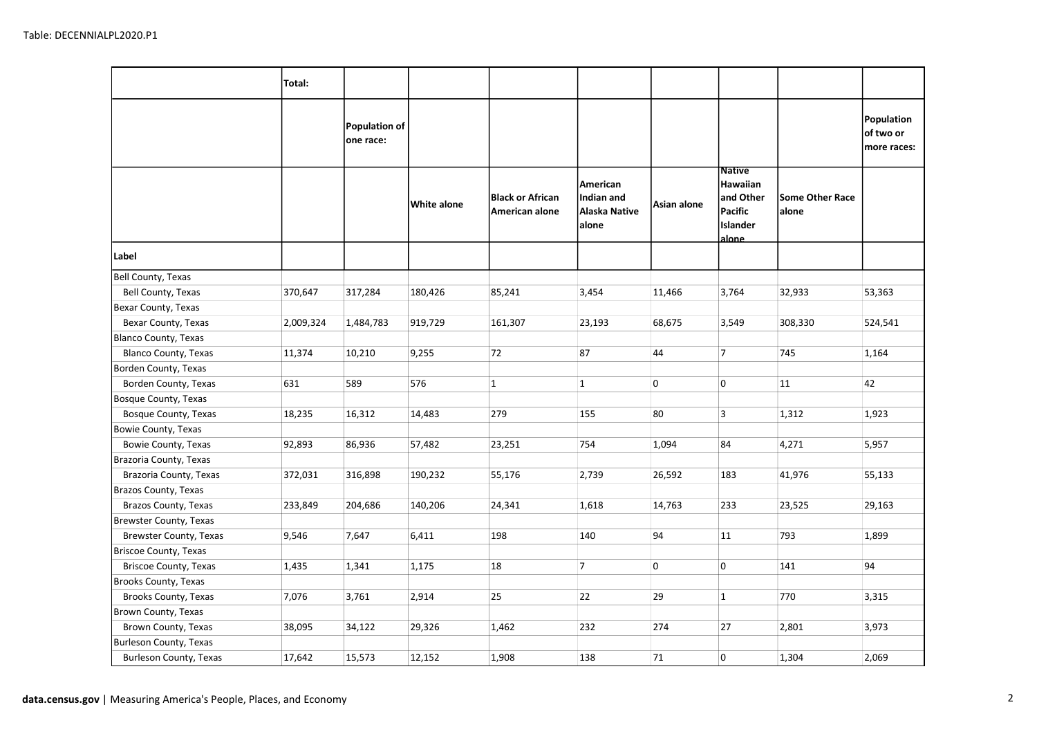|                               | Total:    |                                   |             |                                           |                                                  |             |                                                                                |                                 |                                        |
|-------------------------------|-----------|-----------------------------------|-------------|-------------------------------------------|--------------------------------------------------|-------------|--------------------------------------------------------------------------------|---------------------------------|----------------------------------------|
|                               |           | <b>Population of</b><br>one race: |             |                                           |                                                  |             |                                                                                |                                 | Population<br>of two or<br>more races: |
|                               |           |                                   | White alone | <b>Black or African</b><br>American alone | American<br>Indian and<br>Alaska Native<br>alone | Asian alone | <b>Native</b><br>Hawaiian<br>and Other<br>Pacific<br>Islander<br><u>alone.</u> | <b>Some Other Race</b><br>alone |                                        |
| Label                         |           |                                   |             |                                           |                                                  |             |                                                                                |                                 |                                        |
| <b>Bell County, Texas</b>     |           |                                   |             |                                           |                                                  |             |                                                                                |                                 |                                        |
| Bell County, Texas            | 370,647   | 317,284                           | 180,426     | 85,241                                    | 3,454                                            | 11,466      | 3,764                                                                          | 32,933                          | 53,363                                 |
| Bexar County, Texas           |           |                                   |             |                                           |                                                  |             |                                                                                |                                 |                                        |
| Bexar County, Texas           | 2,009,324 | 1,484,783                         | 919,729     | 161,307                                   | 23,193                                           | 68,675      | 3,549                                                                          | 308,330                         | 524,541                                |
| <b>Blanco County, Texas</b>   |           |                                   |             |                                           |                                                  |             |                                                                                |                                 |                                        |
| Blanco County, Texas          | 11,374    | 10,210                            | 9,255       | 72                                        | 87                                               | 44          | 7                                                                              | 745                             | 1,164                                  |
| Borden County, Texas          |           |                                   |             |                                           |                                                  |             |                                                                                |                                 |                                        |
| Borden County, Texas          | 631       | 589                               | 576         | $\vert$ 1                                 | $\mathbf{1}$                                     | 0           | 0                                                                              | 11                              | 42                                     |
| Bosque County, Texas          |           |                                   |             |                                           |                                                  |             |                                                                                |                                 |                                        |
| Bosque County, Texas          | 18,235    | 16,312                            | 14,483      | 279                                       | 155                                              | 80          | $\overline{3}$                                                                 | 1,312                           | 1,923                                  |
| Bowie County, Texas           |           |                                   |             |                                           |                                                  |             |                                                                                |                                 |                                        |
| Bowie County, Texas           | 92,893    | 86,936                            | 57,482      | 23,251                                    | 754                                              | 1,094       | 84                                                                             | 4,271                           | 5,957                                  |
| Brazoria County, Texas        |           |                                   |             |                                           |                                                  |             |                                                                                |                                 |                                        |
| Brazoria County, Texas        | 372,031   | 316,898                           | 190,232     | 55,176                                    | 2,739                                            | 26,592      | 183                                                                            | 41,976                          | 55,133                                 |
| Brazos County, Texas          |           |                                   |             |                                           |                                                  |             |                                                                                |                                 |                                        |
| Brazos County, Texas          | 233,849   | 204,686                           | 140,206     | 24,341                                    | 1,618                                            | 14,763      | 233                                                                            | 23,525                          | 29,163                                 |
| Brewster County, Texas        |           |                                   |             |                                           |                                                  |             |                                                                                |                                 |                                        |
| Brewster County, Texas        | 9,546     | 7,647                             | 6,411       | 198                                       | 140                                              | 94          | 11                                                                             | 793                             | 1,899                                  |
| <b>Briscoe County, Texas</b>  |           |                                   |             |                                           |                                                  |             |                                                                                |                                 |                                        |
| Briscoe County, Texas         | 1,435     | 1,341                             | 1,175       | 18                                        | 7                                                | 0           | 0                                                                              | 141                             | 94                                     |
| Brooks County, Texas          |           |                                   |             |                                           |                                                  |             |                                                                                |                                 |                                        |
| Brooks County, Texas          | 7,076     | 3,761                             | 2,914       | 25                                        | 22                                               | 29          | $\mathbf{1}$                                                                   | 770                             | 3,315                                  |
| Brown County, Texas           |           |                                   |             |                                           |                                                  |             |                                                                                |                                 |                                        |
| Brown County, Texas           | 38,095    | 34,122                            | 29,326      | 1,462                                     | 232                                              | 274         | 27                                                                             | 2,801                           | 3,973                                  |
| <b>Burleson County, Texas</b> |           |                                   |             |                                           |                                                  |             |                                                                                |                                 |                                        |
| <b>Burleson County, Texas</b> | 17,642    | 15,573                            | 12,152      | 1,908                                     | 138                                              | 71          | 0                                                                              | 1,304                           | 2,069                                  |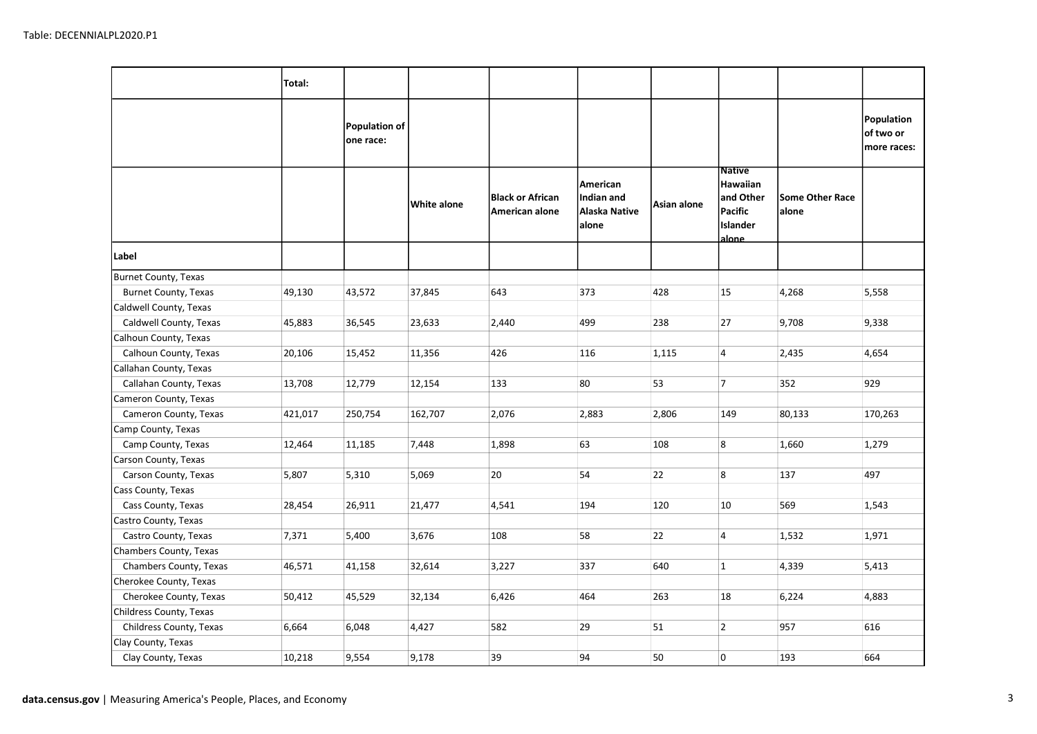|                             | Total:  |                            |             |                                           |                                                  |             |                                                                         |                                 |                                        |
|-----------------------------|---------|----------------------------|-------------|-------------------------------------------|--------------------------------------------------|-------------|-------------------------------------------------------------------------|---------------------------------|----------------------------------------|
|                             |         | Population of<br>one race: |             |                                           |                                                  |             |                                                                         |                                 | Population<br>of two or<br>more races: |
|                             |         |                            | White alone | <b>Black or African</b><br>American alone | American<br>Indian and<br>Alaska Native<br>alone | Asian alone | <b>Native</b><br>Hawaiian<br>and Other<br>Pacific<br>Islander<br>alone_ | <b>Some Other Race</b><br>alone |                                        |
| Label                       |         |                            |             |                                           |                                                  |             |                                                                         |                                 |                                        |
| <b>Burnet County, Texas</b> |         |                            |             |                                           |                                                  |             |                                                                         |                                 |                                        |
| <b>Burnet County, Texas</b> | 49,130  | 43,572                     | 37,845      | 643                                       | 373                                              | 428         | 15                                                                      | 4,268                           | 5,558                                  |
| Caldwell County, Texas      |         |                            |             |                                           |                                                  |             |                                                                         |                                 |                                        |
| Caldwell County, Texas      | 45,883  | 36,545                     | 23,633      | 2,440                                     | 499                                              | 238         | 27                                                                      | 9,708                           | 9,338                                  |
| Calhoun County, Texas       |         |                            |             |                                           |                                                  |             |                                                                         |                                 |                                        |
| Calhoun County, Texas       | 20,106  | 15,452                     | 11,356      | 426                                       | 116                                              | 1,115       | $\overline{4}$                                                          | 2,435                           | 4,654                                  |
| Callahan County, Texas      |         |                            |             |                                           |                                                  |             |                                                                         |                                 |                                        |
| Callahan County, Texas      | 13,708  | 12,779                     | 12,154      | 133                                       | 80                                               | 53          | 7                                                                       | 352                             | 929                                    |
| Cameron County, Texas       |         |                            |             |                                           |                                                  |             |                                                                         |                                 |                                        |
| Cameron County, Texas       | 421,017 | 250,754                    | 162,707     | 2,076                                     | 2,883                                            | 2,806       | 149                                                                     | 80,133                          | 170,263                                |
| Camp County, Texas          |         |                            |             |                                           |                                                  |             |                                                                         |                                 |                                        |
| Camp County, Texas          | 12,464  | 11,185                     | 7,448       | 1,898                                     | 63                                               | 108         | 8                                                                       | 1,660                           | 1,279                                  |
| Carson County, Texas        |         |                            |             |                                           |                                                  |             |                                                                         |                                 |                                        |
| Carson County, Texas        | 5,807   | 5,310                      | 5,069       | 20                                        | 54                                               | 22          | 8                                                                       | 137                             | 497                                    |
| Cass County, Texas          |         |                            |             |                                           |                                                  |             |                                                                         |                                 |                                        |
| Cass County, Texas          | 28,454  | 26,911                     | 21,477      | 4,541                                     | 194                                              | 120         | 10                                                                      | 569                             | 1,543                                  |
| Castro County, Texas        |         |                            |             |                                           |                                                  |             |                                                                         |                                 |                                        |
| Castro County, Texas        | 7,371   | 5,400                      | 3,676       | 108                                       | 58                                               | 22          | $\overline{4}$                                                          | 1,532                           | 1,971                                  |
| Chambers County, Texas      |         |                            |             |                                           |                                                  |             |                                                                         |                                 |                                        |
| Chambers County, Texas      | 46,571  | 41,158                     | 32,614      | 3,227                                     | 337                                              | 640         | $\mathbf{1}$                                                            | 4,339                           | 5,413                                  |
| Cherokee County, Texas      |         |                            |             |                                           |                                                  |             |                                                                         |                                 |                                        |
| Cherokee County, Texas      | 50,412  | 45,529                     | 32,134      | 6,426                                     | 464                                              | 263         | 18                                                                      | 6,224                           | 4,883                                  |
| Childress County, Texas     |         |                            |             |                                           |                                                  |             |                                                                         |                                 |                                        |
| Childress County, Texas     | 6,664   | 6,048                      | 4,427       | 582                                       | 29                                               | 51          | $\overline{2}$                                                          | 957                             | 616                                    |
| Clay County, Texas          |         |                            |             |                                           |                                                  |             |                                                                         |                                 |                                        |
| Clay County, Texas          | 10,218  | 9,554                      | 9,178       | 39                                        | 94                                               | 50          | 0                                                                       | 193                             | 664                                    |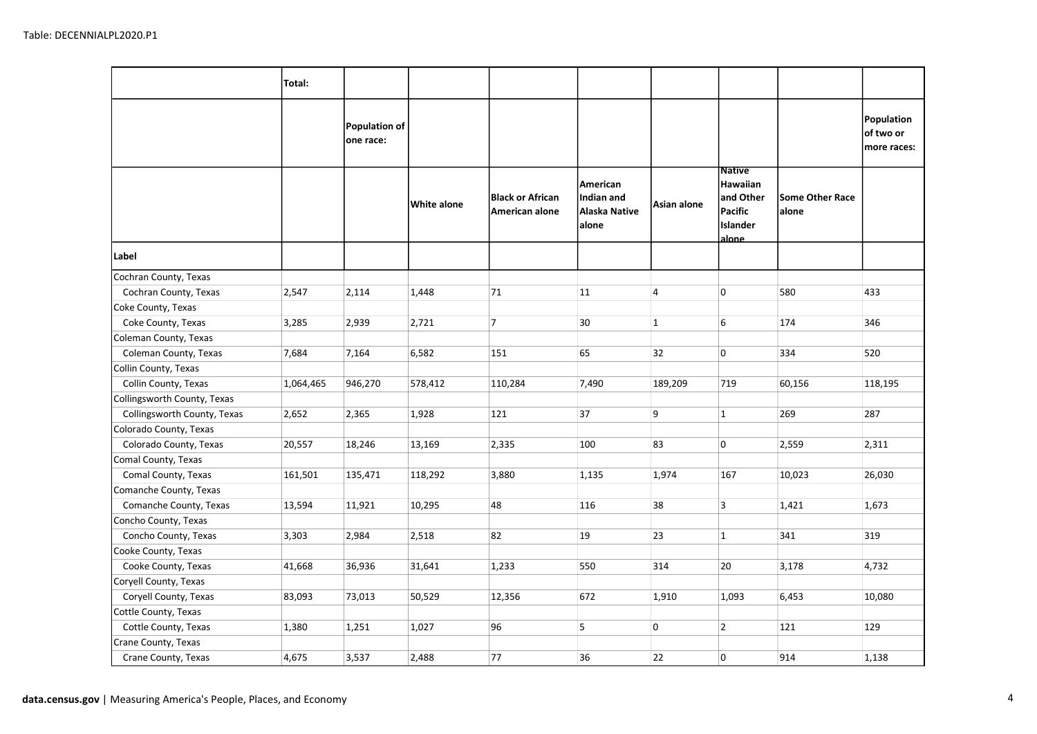|                             | Total:    |                            |             |                                           |                                                  |              |                                                                         |                                 |                                        |
|-----------------------------|-----------|----------------------------|-------------|-------------------------------------------|--------------------------------------------------|--------------|-------------------------------------------------------------------------|---------------------------------|----------------------------------------|
|                             |           | Population of<br>one race: |             |                                           |                                                  |              |                                                                         |                                 | Population<br>of two or<br>more races: |
|                             |           |                            | White alone | <b>Black or African</b><br>American alone | American<br>Indian and<br>Alaska Native<br>alone | Asian alone  | <b>Native</b><br>Hawaiian<br>and Other<br>Pacific<br>Islander<br>alone_ | <b>Some Other Race</b><br>alone |                                        |
| Label                       |           |                            |             |                                           |                                                  |              |                                                                         |                                 |                                        |
| Cochran County, Texas       |           |                            |             |                                           |                                                  |              |                                                                         |                                 |                                        |
| Cochran County, Texas       | 2,547     | 2,114                      | 1,448       | 71                                        | 11                                               | 4            | $\overline{0}$                                                          | 580                             | 433                                    |
| Coke County, Texas          |           |                            |             |                                           |                                                  |              |                                                                         |                                 |                                        |
| Coke County, Texas          | 3,285     | 2,939                      | 2,721       | 7                                         | 30                                               | $\mathbf{1}$ | 6                                                                       | 174                             | 346                                    |
| Coleman County, Texas       |           |                            |             |                                           |                                                  |              |                                                                         |                                 |                                        |
| Coleman County, Texas       | 7,684     | 7,164                      | 6,582       | 151                                       | 65                                               | 32           | 0                                                                       | 334                             | 520                                    |
| Collin County, Texas        |           |                            |             |                                           |                                                  |              |                                                                         |                                 |                                        |
| Collin County, Texas        | 1,064,465 | 946,270                    | 578,412     | 110,284                                   | 7,490                                            | 189,209      | 719                                                                     | 60,156                          | 118,195                                |
| Collingsworth County, Texas |           |                            |             |                                           |                                                  |              |                                                                         |                                 |                                        |
| Collingsworth County, Texas | 2,652     | 2,365                      | 1,928       | 121                                       | 37                                               | 9            | $\mathbf{1}$                                                            | 269                             | 287                                    |
| Colorado County, Texas      |           |                            |             |                                           |                                                  |              |                                                                         |                                 |                                        |
| Colorado County, Texas      | 20,557    | 18,246                     | 13,169      | 2,335                                     | 100                                              | 83           | 0                                                                       | 2,559                           | 2,311                                  |
| Comal County, Texas         |           |                            |             |                                           |                                                  |              |                                                                         |                                 |                                        |
| Comal County, Texas         | 161,501   | 135,471                    | 118,292     | 3,880                                     | 1,135                                            | 1,974        | 167                                                                     | 10,023                          | 26,030                                 |
| Comanche County, Texas      |           |                            |             |                                           |                                                  |              |                                                                         |                                 |                                        |
| Comanche County, Texas      | 13,594    | 11,921                     | 10,295      | 48                                        | 116                                              | 38           | $\overline{\mathbf{3}}$                                                 | 1,421                           | 1,673                                  |
| Concho County, Texas        |           |                            |             |                                           |                                                  |              |                                                                         |                                 |                                        |
| Concho County, Texas        | 3,303     | 2,984                      | 2,518       | 82                                        | 19                                               | 23           | $\mathbf{1}$                                                            | 341                             | 319                                    |
| Cooke County, Texas         |           |                            |             |                                           |                                                  |              |                                                                         |                                 |                                        |
| Cooke County, Texas         | 41,668    | 36,936                     | 31,641      | 1,233                                     | 550                                              | 314          | 20                                                                      | 3,178                           | 4,732                                  |
| Coryell County, Texas       |           |                            |             |                                           |                                                  |              |                                                                         |                                 |                                        |
| Coryell County, Texas       | 83,093    | 73,013                     | 50,529      | 12,356                                    | 672                                              | 1,910        | 1,093                                                                   | 6,453                           | 10,080                                 |
| Cottle County, Texas        |           |                            |             |                                           |                                                  |              |                                                                         |                                 |                                        |
| Cottle County, Texas        | 1,380     | 1,251                      | 1,027       | 96                                        | 5                                                | 0            | $\overline{2}$                                                          | 121                             | 129                                    |
| Crane County, Texas         |           |                            |             |                                           |                                                  |              |                                                                         |                                 |                                        |
| Crane County, Texas         | 4,675     | 3,537                      | 2,488       | 77                                        | 36                                               | 22           | 0                                                                       | 914                             | 1,138                                  |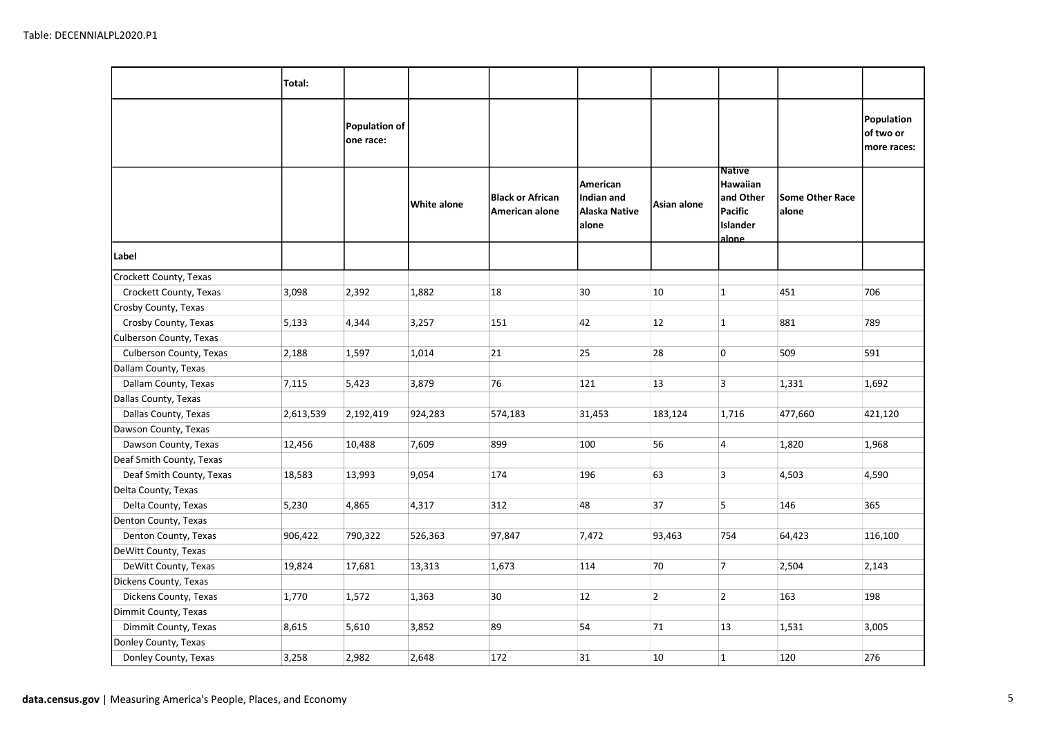|                          | Total:    |                            |             |                                           |                                                  |                |                                                                        |                                 |                                        |
|--------------------------|-----------|----------------------------|-------------|-------------------------------------------|--------------------------------------------------|----------------|------------------------------------------------------------------------|---------------------------------|----------------------------------------|
|                          |           | Population of<br>one race: |             |                                           |                                                  |                |                                                                        |                                 | Population<br>of two or<br>more races: |
|                          |           |                            | White alone | <b>Black or African</b><br>American alone | American<br>Indian and<br>Alaska Native<br>alone | Asian alone    | <b>Native</b><br>Hawaiian<br>and Other<br>Pacific<br>Islander<br>alone | <b>Some Other Race</b><br>alone |                                        |
| Label                    |           |                            |             |                                           |                                                  |                |                                                                        |                                 |                                        |
| Crockett County, Texas   |           |                            |             |                                           |                                                  |                |                                                                        |                                 |                                        |
| Crockett County, Texas   | 3,098     | 2,392                      | 1,882       | 18                                        | 30                                               | 10             | $\mathbf{1}$                                                           | 451                             | 706                                    |
| Crosby County, Texas     |           |                            |             |                                           |                                                  |                |                                                                        |                                 |                                        |
| Crosby County, Texas     | 5,133     | 4,344                      | 3,257       | 151                                       | 42                                               | 12             | $\mathbf{1}$                                                           | 881                             | 789                                    |
| Culberson County, Texas  |           |                            |             |                                           |                                                  |                |                                                                        |                                 |                                        |
| Culberson County, Texas  | 2,188     | 1,597                      | 1,014       | 21                                        | 25                                               | 28             | 0                                                                      | 509                             | 591                                    |
| Dallam County, Texas     |           |                            |             |                                           |                                                  |                |                                                                        |                                 |                                        |
| Dallam County, Texas     | 7,115     | 5,423                      | 3,879       | 76                                        | 121                                              | 13             | $\overline{\mathbf{3}}$                                                | 1,331                           | 1,692                                  |
| Dallas County, Texas     |           |                            |             |                                           |                                                  |                |                                                                        |                                 |                                        |
| Dallas County, Texas     | 2,613,539 | 2,192,419                  | 924,283     | 574,183                                   | 31,453                                           | 183,124        | 1,716                                                                  | 477,660                         | 421,120                                |
| Dawson County, Texas     |           |                            |             |                                           |                                                  |                |                                                                        |                                 |                                        |
| Dawson County, Texas     | 12,456    | 10,488                     | 7,609       | 899                                       | 100                                              | 56             | $\overline{4}$                                                         | 1,820                           | 1,968                                  |
| Deaf Smith County, Texas |           |                            |             |                                           |                                                  |                |                                                                        |                                 |                                        |
| Deaf Smith County, Texas | 18,583    | 13,993                     | 9,054       | 174                                       | 196                                              | 63             | 3                                                                      | 4,503                           | 4,590                                  |
| Delta County, Texas      |           |                            |             |                                           |                                                  |                |                                                                        |                                 |                                        |
| Delta County, Texas      | 5,230     | 4,865                      | 4,317       | 312                                       | 48                                               | 37             | 5                                                                      | 146                             | 365                                    |
| Denton County, Texas     |           |                            |             |                                           |                                                  |                |                                                                        |                                 |                                        |
| Denton County, Texas     | 906,422   | 790,322                    | 526,363     | 97,847                                    | 7,472                                            | 93,463         | 754                                                                    | 64,423                          | 116,100                                |
| DeWitt County, Texas     |           |                            |             |                                           |                                                  |                |                                                                        |                                 |                                        |
| DeWitt County, Texas     | 19,824    | 17,681                     | 13,313      | 1,673                                     | 114                                              | 70             | $\overline{7}$                                                         | 2,504                           | 2,143                                  |
| Dickens County, Texas    |           |                            |             |                                           |                                                  |                |                                                                        |                                 |                                        |
| Dickens County, Texas    | 1,770     | 1,572                      | 1,363       | 30                                        | 12                                               | $\overline{2}$ | $\overline{2}$                                                         | 163                             | 198                                    |
| Dimmit County, Texas     |           |                            |             |                                           |                                                  |                |                                                                        |                                 |                                        |
| Dimmit County, Texas     | 8,615     | 5,610                      | 3,852       | 89                                        | 54                                               | 71             | 13                                                                     | 1,531                           | 3,005                                  |
| Donley County, Texas     |           |                            |             |                                           |                                                  |                |                                                                        |                                 |                                        |
| Donley County, Texas     | 3,258     | 2,982                      | 2,648       | 172                                       | 31                                               | 10             | $\mathbf{1}$                                                           | 120                             | 276                                    |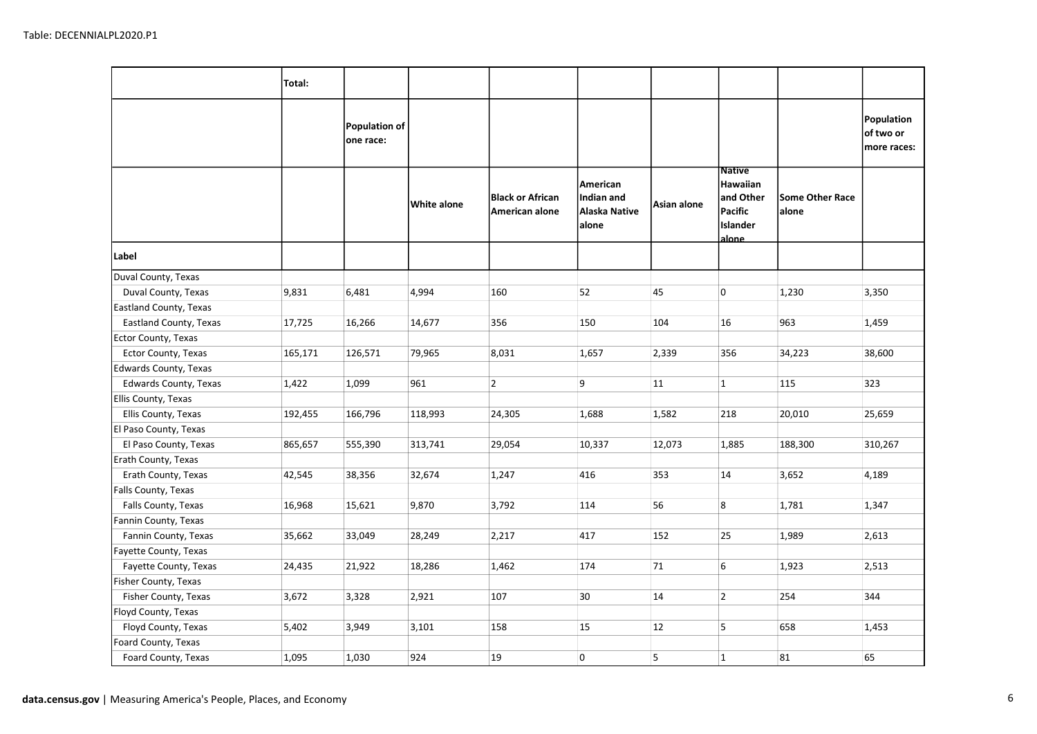|                        | Total:  |                            |             |                                           |                                                         |             |                                                                          |                                 |         |
|------------------------|---------|----------------------------|-------------|-------------------------------------------|---------------------------------------------------------|-------------|--------------------------------------------------------------------------|---------------------------------|---------|
|                        |         | Population of<br>one race: |             |                                           |                                                         |             | Population<br>of two or<br>more races:                                   |                                 |         |
|                        |         |                            | White alone | <b>Black or African</b><br>American alone | <b>American</b><br>Indian and<br>Alaska Native<br>alone | Asian alone | <b>Native</b><br>Hawaiian<br>and Other <br>Pacific<br>lislander<br>alone | <b>Some Other Race</b><br>alone |         |
| Label                  |         |                            |             |                                           |                                                         |             |                                                                          |                                 |         |
| Duval County, Texas    |         |                            |             |                                           |                                                         |             |                                                                          |                                 |         |
| Duval County, Texas    | 9,831   | 6,481                      | 4,994       | 160                                       | 52                                                      | 45          | 0                                                                        | 1,230                           | 3,350   |
| Eastland County, Texas |         |                            |             |                                           |                                                         |             |                                                                          |                                 |         |
| Eastland County, Texas | 17,725  | 16,266                     | 14,677      | 356                                       | 150                                                     | 104         | 16                                                                       | 963                             | 1,459   |
| Ector County, Texas    |         |                            |             |                                           |                                                         |             |                                                                          |                                 |         |
| Ector County, Texas    | 165,171 | 126,571                    | 79,965      | 8,031                                     | 1,657                                                   | 2,339       | 356                                                                      | 34,223                          | 38,600  |
| Edwards County, Texas  |         |                            |             |                                           |                                                         |             |                                                                          |                                 |         |
| Edwards County, Texas  | 1,422   | 1,099                      | 961         | $\overline{2}$                            | 9                                                       | 11          | $\mathbf{1}$                                                             | 115                             | 323     |
| Ellis County, Texas    |         |                            |             |                                           |                                                         |             |                                                                          |                                 |         |
| Ellis County, Texas    | 192,455 | 166,796                    | 118,993     | 24,305                                    | 1,688                                                   | 1,582       | 218                                                                      | 20,010                          | 25,659  |
| El Paso County, Texas  |         |                            |             |                                           |                                                         |             |                                                                          |                                 |         |
| El Paso County, Texas  | 865,657 | 555,390                    | 313,741     | 29,054                                    | 10,337                                                  | 12,073      | 1,885                                                                    | 188,300                         | 310,267 |
| Erath County, Texas    |         |                            |             |                                           |                                                         |             |                                                                          |                                 |         |
| Erath County, Texas    | 42,545  | 38,356                     | 32,674      | 1,247                                     | 416                                                     | 353         | 14                                                                       | 3,652                           | 4,189   |
| Falls County, Texas    |         |                            |             |                                           |                                                         |             |                                                                          |                                 |         |
| Falls County, Texas    | 16,968  | 15,621                     | 9,870       | 3,792                                     | 114                                                     | 56          | 8                                                                        | 1,781                           | 1,347   |
| Fannin County, Texas   |         |                            |             |                                           |                                                         |             |                                                                          |                                 |         |
| Fannin County, Texas   | 35,662  | 33,049                     | 28,249      | 2,217                                     | 417                                                     | 152         | 25                                                                       | 1,989                           | 2,613   |
| Fayette County, Texas  |         |                            |             |                                           |                                                         |             |                                                                          |                                 |         |
| Fayette County, Texas  | 24,435  | 21,922                     | 18,286      | 1,462                                     | 174                                                     | 71          | 6                                                                        | 1,923                           | 2,513   |
| Fisher County, Texas   |         |                            |             |                                           |                                                         |             |                                                                          |                                 |         |
| Fisher County, Texas   | 3,672   | 3,328                      | 2,921       | 107                                       | 30                                                      | 14          | $\overline{2}$                                                           | 254                             | 344     |
| Floyd County, Texas    |         |                            |             |                                           |                                                         |             |                                                                          |                                 |         |
| Floyd County, Texas    | 5,402   | 3,949                      | 3,101       | 158                                       | 15                                                      | 12          | 5                                                                        | 658                             | 1,453   |
| Foard County, Texas    |         |                            |             |                                           |                                                         |             |                                                                          |                                 |         |
| Foard County, Texas    | 1,095   | 1,030                      | 924         | 19                                        | $\overline{0}$                                          | 5           | $\mathbf{1}$                                                             | 81                              | 65      |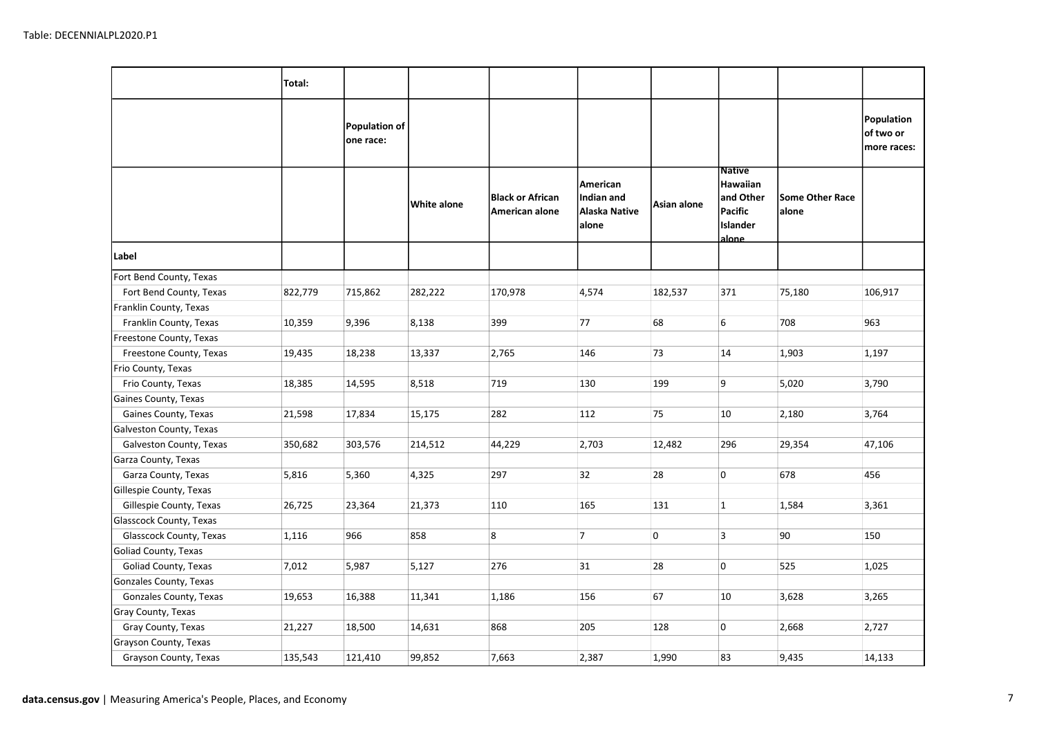|                         | Total:  |                            |             |                                           |                                                  |             |                                                                               |                                 |                                        |
|-------------------------|---------|----------------------------|-------------|-------------------------------------------|--------------------------------------------------|-------------|-------------------------------------------------------------------------------|---------------------------------|----------------------------------------|
|                         |         | Population of<br>one race: |             |                                           |                                                  |             |                                                                               |                                 | Population<br>of two or<br>more races: |
|                         |         |                            | White alone | <b>Black or African</b><br>American alone | American<br>Indian and<br>Alaska Native<br>alone | Asian alone | <b>Native</b><br>Hawaiian<br>and Other<br>Pacific<br><b>Islander</b><br>alone | <b>Some Other Race</b><br>alone |                                        |
| Label                   |         |                            |             |                                           |                                                  |             |                                                                               |                                 |                                        |
| Fort Bend County, Texas |         |                            |             |                                           |                                                  |             |                                                                               |                                 |                                        |
| Fort Bend County, Texas | 822,779 | 715,862                    | 282,222     | 170,978                                   | 4,574                                            | 182,537     | 371                                                                           | 75,180                          | 106,917                                |
| Franklin County, Texas  |         |                            |             |                                           |                                                  |             |                                                                               |                                 |                                        |
| Franklin County, Texas  | 10,359  | 9,396                      | 8,138       | 399                                       | 77                                               | 68          | 6                                                                             | 708                             | 963                                    |
| Freestone County, Texas |         |                            |             |                                           |                                                  |             |                                                                               |                                 |                                        |
| Freestone County, Texas | 19,435  | 18,238                     | 13,337      | 2,765                                     | 146                                              | 73          | 14                                                                            | 1,903                           | 1,197                                  |
| Frio County, Texas      |         |                            |             |                                           |                                                  |             |                                                                               |                                 |                                        |
| Frio County, Texas      | 18,385  | 14,595                     | 8,518       | 719                                       | 130                                              | 199         | 9                                                                             | 5,020                           | 3,790                                  |
| Gaines County, Texas    |         |                            |             |                                           |                                                  |             |                                                                               |                                 |                                        |
| Gaines County, Texas    | 21,598  | 17,834                     | 15,175      | 282                                       | 112                                              | 75          | 10                                                                            | 2,180                           | 3,764                                  |
| Galveston County, Texas |         |                            |             |                                           |                                                  |             |                                                                               |                                 |                                        |
| Galveston County, Texas | 350,682 | 303,576                    | 214,512     | 44,229                                    | 2,703                                            | 12,482      | 296                                                                           | 29,354                          | 47,106                                 |
| Garza County, Texas     |         |                            |             |                                           |                                                  |             |                                                                               |                                 |                                        |
| Garza County, Texas     | 5,816   | 5,360                      | 4,325       | 297                                       | 32                                               | 28          | 0                                                                             | 678                             | 456                                    |
| Gillespie County, Texas |         |                            |             |                                           |                                                  |             |                                                                               |                                 |                                        |
| Gillespie County, Texas | 26,725  | 23,364                     | 21,373      | 110                                       | 165                                              | 131         | $\mathbf{1}$                                                                  | 1,584                           | 3,361                                  |
| Glasscock County, Texas |         |                            |             |                                           |                                                  |             |                                                                               |                                 |                                        |
| Glasscock County, Texas | 1,116   | 966                        | 858         | 8                                         | $\overline{7}$                                   | 0           | 3                                                                             | 90                              | 150                                    |
| Goliad County, Texas    |         |                            |             |                                           |                                                  |             |                                                                               |                                 |                                        |
| Goliad County, Texas    | 7,012   | 5,987                      | 5,127       | 276                                       | 31                                               | 28          | 0                                                                             | 525                             | 1,025                                  |
| Gonzales County, Texas  |         |                            |             |                                           |                                                  |             |                                                                               |                                 |                                        |
| Gonzales County, Texas  | 19,653  | 16,388                     | 11,341      | 1,186                                     | 156                                              | 67          | 10                                                                            | 3,628                           | 3,265                                  |
| Gray County, Texas      |         |                            |             |                                           |                                                  |             |                                                                               |                                 |                                        |
| Gray County, Texas      | 21,227  | 18,500                     | 14,631      | 868                                       | 205                                              | 128         | 0                                                                             | 2,668                           | 2,727                                  |
| Grayson County, Texas   |         |                            |             |                                           |                                                  |             |                                                                               |                                 |                                        |
| Grayson County, Texas   | 135,543 | 121,410                    | 99,852      | 7,663                                     | 2,387                                            | 1,990       | 83                                                                            | 9,435                           | 14,133                                 |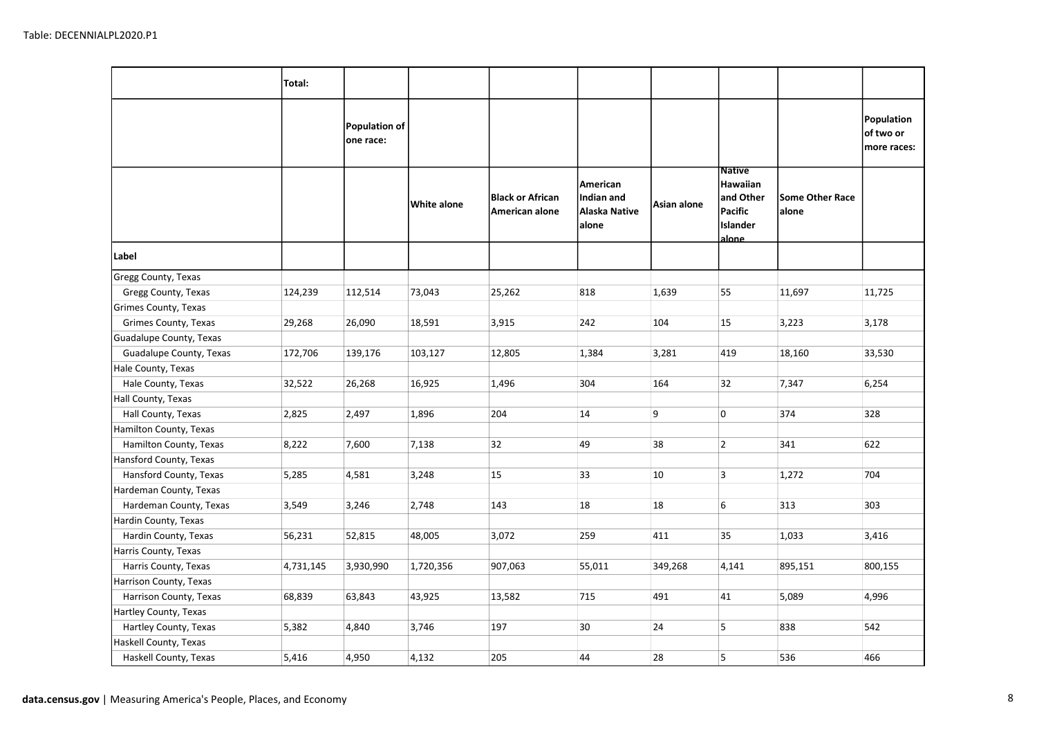|                         | Total:    |                            |             |                                           |                                                  |             |                                                                        |                                 |                                        |
|-------------------------|-----------|----------------------------|-------------|-------------------------------------------|--------------------------------------------------|-------------|------------------------------------------------------------------------|---------------------------------|----------------------------------------|
|                         |           | Population of<br>one race: |             |                                           |                                                  |             |                                                                        |                                 | Population<br>of two or<br>more races: |
|                         |           |                            | White alone | <b>Black or African</b><br>American alone | American<br>Indian and<br>Alaska Native<br>alone | Asian alone | <b>Native</b><br>Hawaiian<br>and Other<br>Pacific<br>Islander<br>alone | <b>Some Other Race</b><br>alone |                                        |
| Label                   |           |                            |             |                                           |                                                  |             |                                                                        |                                 |                                        |
| Gregg County, Texas     |           |                            |             |                                           |                                                  |             |                                                                        |                                 |                                        |
| Gregg County, Texas     | 124,239   | 112,514                    | 73,043      | 25,262                                    | 818                                              | 1,639       | 55                                                                     | 11,697                          | 11,725                                 |
| Grimes County, Texas    |           |                            |             |                                           |                                                  |             |                                                                        |                                 |                                        |
| Grimes County, Texas    | 29,268    | 26,090                     | 18,591      | 3,915                                     | 242                                              | 104         | 15                                                                     | 3,223                           | 3,178                                  |
| Guadalupe County, Texas |           |                            |             |                                           |                                                  |             |                                                                        |                                 |                                        |
| Guadalupe County, Texas | 172,706   | 139,176                    | 103,127     | 12,805                                    | 1,384                                            | 3,281       | 419                                                                    | 18,160                          | 33,530                                 |
| Hale County, Texas      |           |                            |             |                                           |                                                  |             |                                                                        |                                 |                                        |
| Hale County, Texas      | 32,522    | 26,268                     | 16,925      | 1,496                                     | 304                                              | 164         | 32                                                                     | 7,347                           | 6,254                                  |
| Hall County, Texas      |           |                            |             |                                           |                                                  |             |                                                                        |                                 |                                        |
| Hall County, Texas      | 2,825     | 2,497                      | 1,896       | 204                                       | 14                                               | 9           | $\overline{0}$                                                         | 374                             | 328                                    |
| Hamilton County, Texas  |           |                            |             |                                           |                                                  |             |                                                                        |                                 |                                        |
| Hamilton County, Texas  | 8,222     | 7,600                      | 7,138       | 32                                        | 49                                               | 38          | $\overline{2}$                                                         | 341                             | 622                                    |
| Hansford County, Texas  |           |                            |             |                                           |                                                  |             |                                                                        |                                 |                                        |
| Hansford County, Texas  | 5,285     | 4,581                      | 3,248       | 15                                        | 33                                               | 10          | $\overline{3}$                                                         | 1,272                           | 704                                    |
| Hardeman County, Texas  |           |                            |             |                                           |                                                  |             |                                                                        |                                 |                                        |
| Hardeman County, Texas  | 3,549     | 3,246                      | 2,748       | 143                                       | 18                                               | 18          | 6                                                                      | 313                             | 303                                    |
| Hardin County, Texas    |           |                            |             |                                           |                                                  |             |                                                                        |                                 |                                        |
| Hardin County, Texas    | 56,231    | 52,815                     | 48,005      | 3,072                                     | 259                                              | 411         | 35                                                                     | 1,033                           | 3,416                                  |
| Harris County, Texas    |           |                            |             |                                           |                                                  |             |                                                                        |                                 |                                        |
| Harris County, Texas    | 4,731,145 | 3,930,990                  | 1,720,356   | 907,063                                   | 55,011                                           | 349,268     | 4,141                                                                  | 895,151                         | 800,155                                |
| Harrison County, Texas  |           |                            |             |                                           |                                                  |             |                                                                        |                                 |                                        |
| Harrison County, Texas  | 68,839    | 63,843                     | 43,925      | 13,582                                    | 715                                              | 491         | 41                                                                     | 5,089                           | 4,996                                  |
| Hartley County, Texas   |           |                            |             |                                           |                                                  |             |                                                                        |                                 |                                        |
| Hartley County, Texas   | 5,382     | 4,840                      | 3,746       | 197                                       | 30                                               | 24          | 5                                                                      | 838                             | 542                                    |
| Haskell County, Texas   |           |                            |             |                                           |                                                  |             |                                                                        |                                 |                                        |
| Haskell County, Texas   | 5,416     | 4,950                      | 4,132       | 205                                       | 44                                               | 28          | 5                                                                      | 536                             | 466                                    |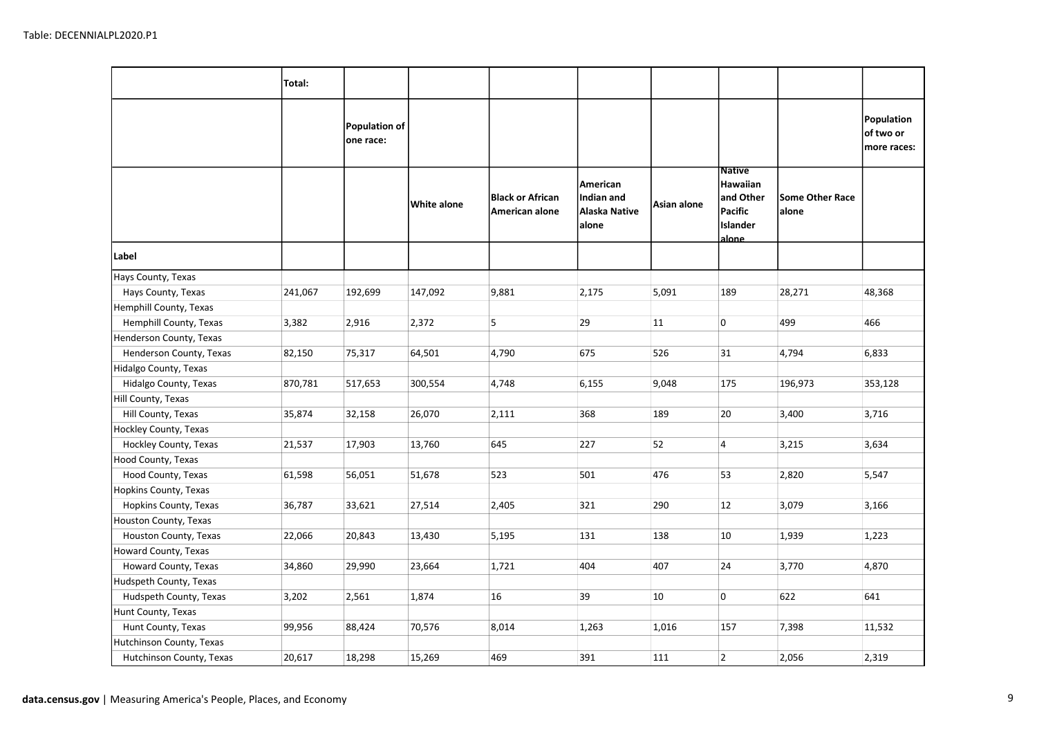|                          | Total:  |                                   |             |                                           |                                                  |             |                                                                         |                                 |                                        |
|--------------------------|---------|-----------------------------------|-------------|-------------------------------------------|--------------------------------------------------|-------------|-------------------------------------------------------------------------|---------------------------------|----------------------------------------|
|                          |         | <b>Population of</b><br>one race: |             |                                           |                                                  |             |                                                                         |                                 | Population<br>of two or<br>more races: |
|                          |         |                                   | White alone | <b>Black or African</b><br>American alone | American<br>Indian and<br>Alaska Native<br>alone | Asian alone | <b>Native</b><br>Hawaiian<br>and Other<br>Pacific<br>Islander<br>alone_ | <b>Some Other Race</b><br>alone |                                        |
| Label                    |         |                                   |             |                                           |                                                  |             |                                                                         |                                 |                                        |
| Hays County, Texas       |         |                                   |             |                                           |                                                  |             |                                                                         |                                 |                                        |
| Hays County, Texas       | 241,067 | 192,699                           | 147,092     | 9,881                                     | 2,175                                            | 5,091       | 189                                                                     | 28,271                          | 48,368                                 |
| Hemphill County, Texas   |         |                                   |             |                                           |                                                  |             |                                                                         |                                 |                                        |
| Hemphill County, Texas   | 3,382   | 2,916                             | 2,372       | 5                                         | 29                                               | 11          | 0                                                                       | 499                             | 466                                    |
| Henderson County, Texas  |         |                                   |             |                                           |                                                  |             |                                                                         |                                 |                                        |
| Henderson County, Texas  | 82,150  | 75,317                            | 64,501      | 4,790                                     | 675                                              | 526         | 31                                                                      | 4,794                           | 6,833                                  |
| Hidalgo County, Texas    |         |                                   |             |                                           |                                                  |             |                                                                         |                                 |                                        |
| Hidalgo County, Texas    | 870,781 | 517,653                           | 300,554     | 4,748                                     | 6,155                                            | 9,048       | 175                                                                     | 196,973                         | 353,128                                |
| Hill County, Texas       |         |                                   |             |                                           |                                                  |             |                                                                         |                                 |                                        |
| Hill County, Texas       | 35,874  | 32,158                            | 26,070      | 2,111                                     | 368                                              | 189         | 20                                                                      | 3,400                           | 3,716                                  |
| Hockley County, Texas    |         |                                   |             |                                           |                                                  |             |                                                                         |                                 |                                        |
| Hockley County, Texas    | 21,537  | 17,903                            | 13,760      | 645                                       | 227                                              | 52          | 4                                                                       | 3,215                           | 3,634                                  |
| Hood County, Texas       |         |                                   |             |                                           |                                                  |             |                                                                         |                                 |                                        |
| Hood County, Texas       | 61,598  | 56,051                            | 51,678      | 523                                       | 501                                              | 476         | 53                                                                      | 2,820                           | 5,547                                  |
| Hopkins County, Texas    |         |                                   |             |                                           |                                                  |             |                                                                         |                                 |                                        |
| Hopkins County, Texas    | 36,787  | 33,621                            | 27,514      | 2,405                                     | 321                                              | 290         | 12                                                                      | 3,079                           | 3,166                                  |
| Houston County, Texas    |         |                                   |             |                                           |                                                  |             |                                                                         |                                 |                                        |
| Houston County, Texas    | 22,066  | 20,843                            | 13,430      | 5,195                                     | 131                                              | 138         | 10                                                                      | 1,939                           | 1,223                                  |
| Howard County, Texas     |         |                                   |             |                                           |                                                  |             |                                                                         |                                 |                                        |
| Howard County, Texas     | 34,860  | 29,990                            | 23,664      | 1,721                                     | 404                                              | 407         | 24                                                                      | 3,770                           | 4,870                                  |
| Hudspeth County, Texas   |         |                                   |             |                                           |                                                  |             |                                                                         |                                 |                                        |
| Hudspeth County, Texas   | 3,202   | 2,561                             | 1,874       | 16                                        | 39                                               | 10          | 0                                                                       | 622                             | 641                                    |
| Hunt County, Texas       |         |                                   |             |                                           |                                                  |             |                                                                         |                                 |                                        |
| Hunt County, Texas       | 99,956  | 88,424                            | 70,576      | 8,014                                     | 1,263                                            | 1,016       | 157                                                                     | 7,398                           | 11,532                                 |
| Hutchinson County, Texas |         |                                   |             |                                           |                                                  |             |                                                                         |                                 |                                        |
| Hutchinson County, Texas | 20,617  | 18,298                            | 15,269      | 469                                       | 391                                              | 111         | $\overline{2}$                                                          | 2,056                           | 2,319                                  |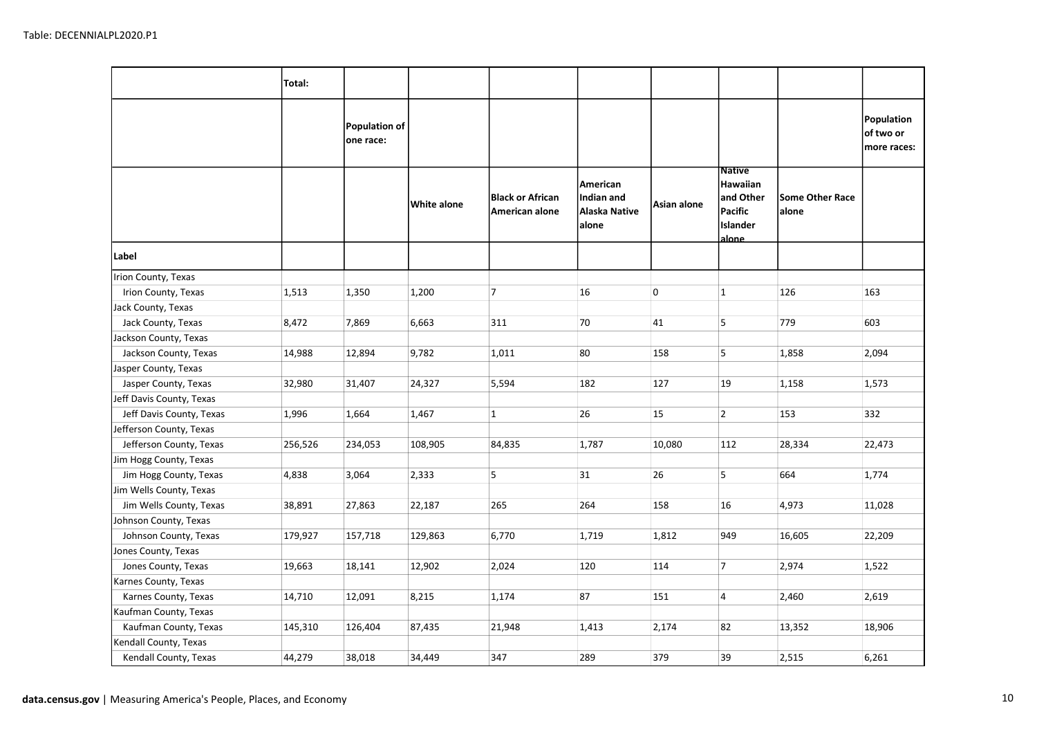|                          | Total:  |                                   |             |                                           |                                                  |             |                                                                                |                                 |                                        |
|--------------------------|---------|-----------------------------------|-------------|-------------------------------------------|--------------------------------------------------|-------------|--------------------------------------------------------------------------------|---------------------------------|----------------------------------------|
|                          |         | <b>Population of</b><br>one race: |             |                                           |                                                  |             |                                                                                |                                 | Population<br>of two or<br>more races: |
|                          |         |                                   | White alone | <b>Black or African</b><br>American alone | American<br>Indian and<br>Alaska Native<br>alone | Asian alone | <b>Native</b><br>Hawaiian<br>and Other<br>Pacific<br>Islander<br><u>alone.</u> | <b>Some Other Race</b><br>alone |                                        |
| Label                    |         |                                   |             |                                           |                                                  |             |                                                                                |                                 |                                        |
| Irion County, Texas      |         |                                   |             |                                           |                                                  |             |                                                                                |                                 |                                        |
| Irion County, Texas      | 1,513   | 1,350                             | 1,200       | 7                                         | 16                                               | 0           | $\mathbf{1}$                                                                   | 126                             | 163                                    |
| Jack County, Texas       |         |                                   |             |                                           |                                                  |             |                                                                                |                                 |                                        |
| Jack County, Texas       | 8,472   | 7,869                             | 6,663       | 311                                       | 70                                               | 41          | 5                                                                              | 779                             | 603                                    |
| Jackson County, Texas    |         |                                   |             |                                           |                                                  |             |                                                                                |                                 |                                        |
| Jackson County, Texas    | 14,988  | 12,894                            | 9,782       | 1,011                                     | 80                                               | 158         | 5                                                                              | 1,858                           | 2,094                                  |
| Jasper County, Texas     |         |                                   |             |                                           |                                                  |             |                                                                                |                                 |                                        |
| Jasper County, Texas     | 32,980  | 31,407                            | 24,327      | 5,594                                     | 182                                              | 127         | 19                                                                             | 1,158                           | 1,573                                  |
| Jeff Davis County, Texas |         |                                   |             |                                           |                                                  |             |                                                                                |                                 |                                        |
| Jeff Davis County, Texas | 1,996   | 1,664                             | 1,467       | $\mathbf{1}$                              | 26                                               | 15          | $\overline{2}$                                                                 | 153                             | 332                                    |
| Jefferson County, Texas  |         |                                   |             |                                           |                                                  |             |                                                                                |                                 |                                        |
| Jefferson County, Texas  | 256,526 | 234,053                           | 108,905     | 84,835                                    | 1,787                                            | 10,080      | 112                                                                            | 28,334                          | 22,473                                 |
| Jim Hogg County, Texas   |         |                                   |             |                                           |                                                  |             |                                                                                |                                 |                                        |
| Jim Hogg County, Texas   | 4,838   | 3,064                             | 2,333       | 5                                         | 31                                               | 26          | 5                                                                              | 664                             | 1,774                                  |
| Jim Wells County, Texas  |         |                                   |             |                                           |                                                  |             |                                                                                |                                 |                                        |
| Jim Wells County, Texas  | 38,891  | 27,863                            | 22,187      | 265                                       | 264                                              | 158         | 16                                                                             | 4,973                           | 11,028                                 |
| Johnson County, Texas    |         |                                   |             |                                           |                                                  |             |                                                                                |                                 |                                        |
| Johnson County, Texas    | 179,927 | 157,718                           | 129,863     | 6,770                                     | 1,719                                            | 1,812       | 949                                                                            | 16,605                          | 22,209                                 |
| Jones County, Texas      |         |                                   |             |                                           |                                                  |             |                                                                                |                                 |                                        |
| Jones County, Texas      | 19,663  | 18,141                            | 12,902      | 2,024                                     | 120                                              | 114         | $\overline{7}$                                                                 | 2,974                           | 1,522                                  |
| Karnes County, Texas     |         |                                   |             |                                           |                                                  |             |                                                                                |                                 |                                        |
| Karnes County, Texas     | 14,710  | 12,091                            | 8,215       | 1,174                                     | 87                                               | 151         | $\overline{4}$                                                                 | 2,460                           | 2,619                                  |
| Kaufman County, Texas    |         |                                   |             |                                           |                                                  |             |                                                                                |                                 |                                        |
| Kaufman County, Texas    | 145,310 | 126,404                           | 87,435      | 21,948                                    | 1,413                                            | 2,174       | 82                                                                             | 13,352                          | 18,906                                 |
| Kendall County, Texas    |         |                                   |             |                                           |                                                  |             |                                                                                |                                 |                                        |
| Kendall County, Texas    | 44,279  | 38,018                            | 34,449      | 347                                       | 289                                              | 379         | 39                                                                             | 2,515                           | 6,261                                  |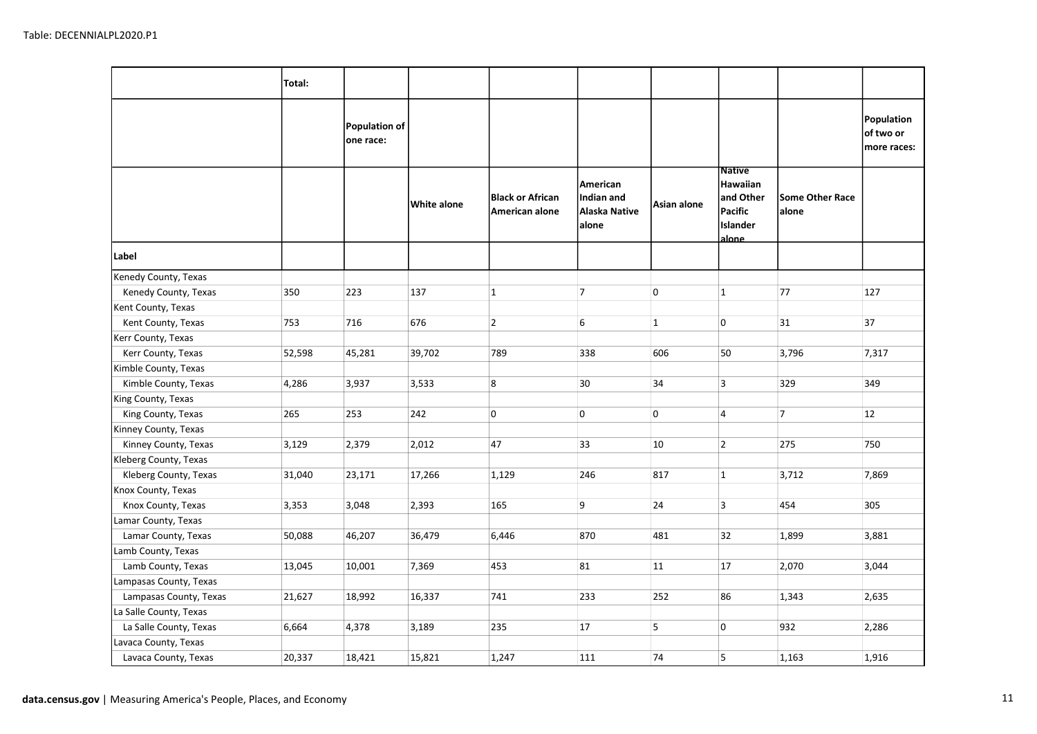|                        | Total: |                            |             |                                           |                                                  |              |                                                                               |                                 |                                        |
|------------------------|--------|----------------------------|-------------|-------------------------------------------|--------------------------------------------------|--------------|-------------------------------------------------------------------------------|---------------------------------|----------------------------------------|
|                        |        | Population of<br>one race: |             |                                           |                                                  |              |                                                                               |                                 | Population<br>of two or<br>more races: |
|                        |        |                            | White alone | <b>Black or African</b><br>American alone | American<br>Indian and<br>Alaska Native<br>alone | Asian alone  | <b>Native</b><br>Hawaiian<br>and Other<br>Pacific<br><b>Islander</b><br>alone | <b>Some Other Race</b><br>alone |                                        |
| Label                  |        |                            |             |                                           |                                                  |              |                                                                               |                                 |                                        |
| Kenedy County, Texas   |        |                            |             |                                           |                                                  |              |                                                                               |                                 |                                        |
| Kenedy County, Texas   | 350    | 223                        | 137         | $\mathbf{1}$                              | $\overline{7}$                                   | 0            | $\mathbf{1}$                                                                  | 77                              | 127                                    |
| Kent County, Texas     |        |                            |             |                                           |                                                  |              |                                                                               |                                 |                                        |
| Kent County, Texas     | 753    | 716                        | 676         | $\overline{2}$                            | 6                                                | $\mathbf{1}$ | 0                                                                             | 31                              | 37                                     |
| Kerr County, Texas     |        |                            |             |                                           |                                                  |              |                                                                               |                                 |                                        |
| Kerr County, Texas     | 52,598 | 45,281                     | 39,702      | 789                                       | 338                                              | 606          | 50                                                                            | 3,796                           | 7,317                                  |
| Kimble County, Texas   |        |                            |             |                                           |                                                  |              |                                                                               |                                 |                                        |
| Kimble County, Texas   | 4,286  | 3,937                      | 3,533       | 8                                         | 30                                               | 34           | 3                                                                             | 329                             | 349                                    |
| King County, Texas     |        |                            |             |                                           |                                                  |              |                                                                               |                                 |                                        |
| King County, Texas     | 265    | 253                        | 242         | 0                                         | 0                                                | 0            | $\overline{4}$                                                                | $\overline{7}$                  | 12                                     |
| Kinney County, Texas   |        |                            |             |                                           |                                                  |              |                                                                               |                                 |                                        |
| Kinney County, Texas   | 3,129  | 2,379                      | 2,012       | 47                                        | 33                                               | 10           | $\overline{2}$                                                                | 275                             | 750                                    |
| Kleberg County, Texas  |        |                            |             |                                           |                                                  |              |                                                                               |                                 |                                        |
| Kleberg County, Texas  | 31,040 | 23,171                     | 17,266      | 1,129                                     | 246                                              | 817          | $\mathbf{1}$                                                                  | 3,712                           | 7,869                                  |
| Knox County, Texas     |        |                            |             |                                           |                                                  |              |                                                                               |                                 |                                        |
| Knox County, Texas     | 3,353  | 3,048                      | 2,393       | 165                                       | 9                                                | 24           | 3                                                                             | 454                             | 305                                    |
| Lamar County, Texas    |        |                            |             |                                           |                                                  |              |                                                                               |                                 |                                        |
| Lamar County, Texas    | 50,088 | 46,207                     | 36,479      | 6,446                                     | 870                                              | 481          | 32                                                                            | 1,899                           | 3,881                                  |
| Lamb County, Texas     |        |                            |             |                                           |                                                  |              |                                                                               |                                 |                                        |
| Lamb County, Texas     | 13,045 | 10,001                     | 7,369       | 453                                       | 81                                               | 11           | 17                                                                            | 2,070                           | 3,044                                  |
| Lampasas County, Texas |        |                            |             |                                           |                                                  |              |                                                                               |                                 |                                        |
| Lampasas County, Texas | 21,627 | 18,992                     | 16,337      | 741                                       | 233                                              | 252          | 86                                                                            | 1,343                           | 2,635                                  |
| La Salle County, Texas |        |                            |             |                                           |                                                  |              |                                                                               |                                 |                                        |
| La Salle County, Texas | 6,664  | 4,378                      | 3,189       | 235                                       | 17                                               | 5            | 0                                                                             | 932                             | 2,286                                  |
| Lavaca County, Texas   |        |                            |             |                                           |                                                  |              |                                                                               |                                 |                                        |
| Lavaca County, Texas   | 20,337 | 18,421                     | 15,821      | 1,247                                     | 111                                              | 74           | 5                                                                             | 1,163                           | 1,916                                  |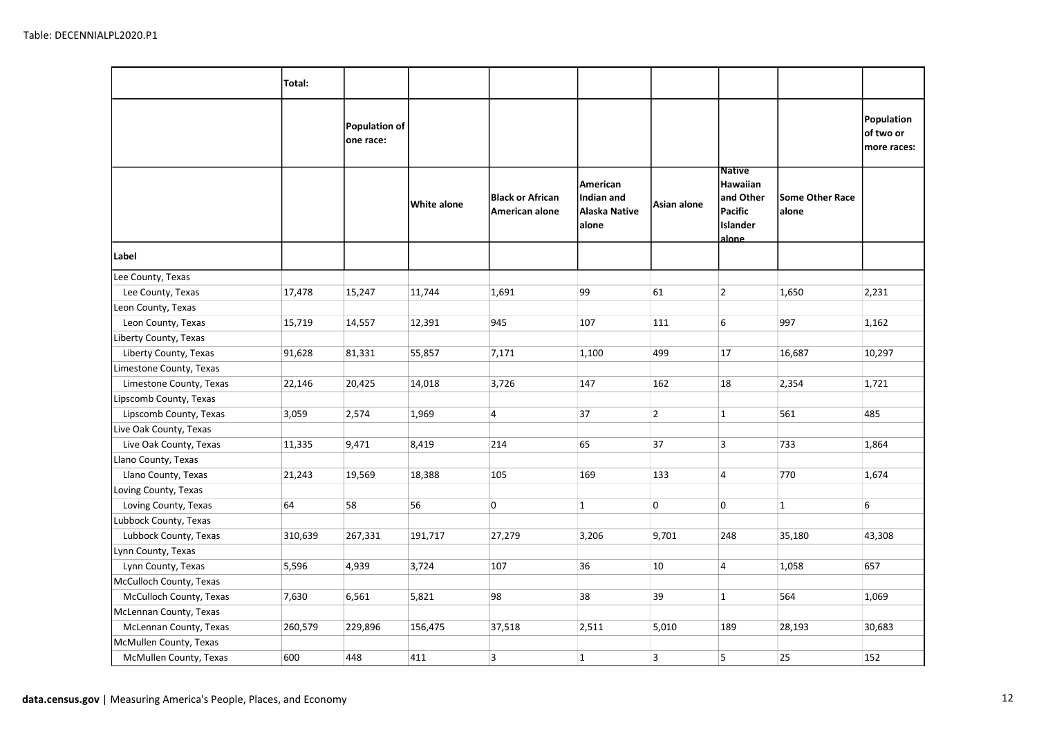|                         | Total:  |                            |             |                                           |                                                  |                |                                                                        |                                 |                                        |
|-------------------------|---------|----------------------------|-------------|-------------------------------------------|--------------------------------------------------|----------------|------------------------------------------------------------------------|---------------------------------|----------------------------------------|
|                         |         | Population of<br>one race: |             |                                           |                                                  |                |                                                                        |                                 | Population<br>of two or<br>more races: |
|                         |         |                            | White alone | <b>Black or African</b><br>American alone | American<br>Indian and<br>Alaska Native<br>alone | Asian alone    | <b>Native</b><br>Hawaiian<br>and Other<br>Pacific<br>Islander<br>alone | <b>Some Other Race</b><br>alone |                                        |
| Label                   |         |                            |             |                                           |                                                  |                |                                                                        |                                 |                                        |
| Lee County, Texas       |         |                            |             |                                           |                                                  |                |                                                                        |                                 |                                        |
| Lee County, Texas       | 17,478  | 15,247                     | 11,744      | 1,691                                     | 99                                               | 61             | $\overline{2}$                                                         | 1,650                           | 2,231                                  |
| Leon County, Texas      |         |                            |             |                                           |                                                  |                |                                                                        |                                 |                                        |
| Leon County, Texas      | 15,719  | 14,557                     | 12,391      | 945                                       | 107                                              | 111            | 6                                                                      | 997                             | 1,162                                  |
| Liberty County, Texas   |         |                            |             |                                           |                                                  |                |                                                                        |                                 |                                        |
| Liberty County, Texas   | 91,628  | 81,331                     | 55,857      | 7,171                                     | 1,100                                            | 499            | 17                                                                     | 16,687                          | 10,297                                 |
| Limestone County, Texas |         |                            |             |                                           |                                                  |                |                                                                        |                                 |                                        |
| Limestone County, Texas | 22,146  | 20,425                     | 14,018      | 3,726                                     | 147                                              | 162            | 18                                                                     | 2,354                           | 1,721                                  |
| Lipscomb County, Texas  |         |                            |             |                                           |                                                  |                |                                                                        |                                 |                                        |
| Lipscomb County, Texas  | 3,059   | 2,574                      | 1,969       | $\overline{4}$                            | 37                                               | $\overline{2}$ | $\mathbf{1}$                                                           | 561                             | 485                                    |
| Live Oak County, Texas  |         |                            |             |                                           |                                                  |                |                                                                        |                                 |                                        |
| Live Oak County, Texas  | 11,335  | 9,471                      | 8,419       | 214                                       | 65                                               | 37             | $\overline{3}$                                                         | 733                             | 1,864                                  |
| Llano County, Texas     |         |                            |             |                                           |                                                  |                |                                                                        |                                 |                                        |
| Llano County, Texas     | 21,243  | 19,569                     | 18,388      | 105                                       | 169                                              | 133            | $\overline{4}$                                                         | 770                             | 1,674                                  |
| Loving County, Texas    |         |                            |             |                                           |                                                  |                |                                                                        |                                 |                                        |
| Loving County, Texas    | 64      | 58                         | 56          | 0                                         | $\mathbf{1}$                                     | 0              | 0                                                                      | $\overline{1}$                  | 6                                      |
| Lubbock County, Texas   |         |                            |             |                                           |                                                  |                |                                                                        |                                 |                                        |
| Lubbock County, Texas   | 310,639 | 267,331                    | 191,717     | 27,279                                    | 3,206                                            | 9,701          | 248                                                                    | 35,180                          | 43,308                                 |
| Lynn County, Texas      |         |                            |             |                                           |                                                  |                |                                                                        |                                 |                                        |
| Lynn County, Texas      | 5,596   | 4,939                      | 3,724       | 107                                       | 36                                               | 10             | $\overline{4}$                                                         | 1,058                           | 657                                    |
| McCulloch County, Texas |         |                            |             |                                           |                                                  |                |                                                                        |                                 |                                        |
| McCulloch County, Texas | 7,630   | 6,561                      | 5,821       | 98                                        | 38                                               | 39             | $\mathbf{1}$                                                           | 564                             | 1,069                                  |
| McLennan County, Texas  |         |                            |             |                                           |                                                  |                |                                                                        |                                 |                                        |
| McLennan County, Texas  | 260,579 | 229,896                    | 156,475     | 37,518                                    | 2,511                                            | 5,010          | 189                                                                    | 28,193                          | 30,683                                 |
| McMullen County, Texas  |         |                            |             |                                           |                                                  |                |                                                                        |                                 |                                        |
| McMullen County, Texas  | 600     | 448                        | 411         | $\overline{\mathbf{3}}$                   | $\mathbf{1}$                                     | 3              | 5                                                                      | 25                              | 152                                    |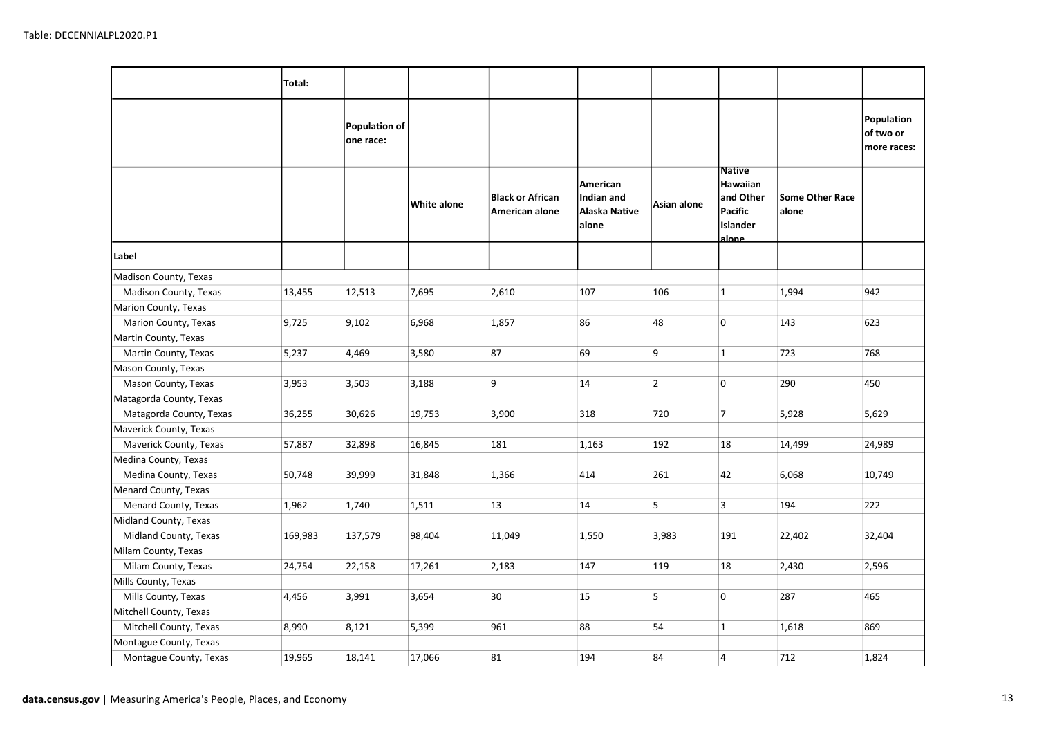|                         | Total:  |                            |             |                                           |                                                  |                |                                                                               |                                 |                                        |
|-------------------------|---------|----------------------------|-------------|-------------------------------------------|--------------------------------------------------|----------------|-------------------------------------------------------------------------------|---------------------------------|----------------------------------------|
|                         |         | Population of<br>one race: |             |                                           |                                                  |                |                                                                               |                                 | Population<br>of two or<br>more races: |
|                         |         |                            | White alone | <b>Black or African</b><br>American alone | American<br>Indian and<br>Alaska Native<br>alone | Asian alone    | <b>Native</b><br>Hawaiian<br>and Other<br>Pacific<br><b>Islander</b><br>alone | <b>Some Other Race</b><br>alone |                                        |
| Label                   |         |                            |             |                                           |                                                  |                |                                                                               |                                 |                                        |
| Madison County, Texas   |         |                            |             |                                           |                                                  |                |                                                                               |                                 |                                        |
| Madison County, Texas   | 13,455  | 12,513                     | 7,695       | 2,610                                     | 107                                              | 106            | $\mathbf{1}$                                                                  | 1,994                           | 942                                    |
| Marion County, Texas    |         |                            |             |                                           |                                                  |                |                                                                               |                                 |                                        |
| Marion County, Texas    | 9,725   | 9,102                      | 6,968       | 1,857                                     | 86                                               | 48             | 0                                                                             | 143                             | 623                                    |
| Martin County, Texas    |         |                            |             |                                           |                                                  |                |                                                                               |                                 |                                        |
| Martin County, Texas    | 5,237   | 4,469                      | 3,580       | 87                                        | 69                                               | 9              | $\mathbf{1}$                                                                  | 723                             | 768                                    |
| Mason County, Texas     |         |                            |             |                                           |                                                  |                |                                                                               |                                 |                                        |
| Mason County, Texas     | 3,953   | 3,503                      | 3,188       | 9                                         | 14                                               | $\overline{2}$ | 0                                                                             | 290                             | 450                                    |
| Matagorda County, Texas |         |                            |             |                                           |                                                  |                |                                                                               |                                 |                                        |
| Matagorda County, Texas | 36,255  | 30,626                     | 19,753      | 3,900                                     | 318                                              | 720            | $\overline{7}$                                                                | 5,928                           | 5,629                                  |
| Maverick County, Texas  |         |                            |             |                                           |                                                  |                |                                                                               |                                 |                                        |
| Maverick County, Texas  | 57,887  | 32,898                     | 16,845      | 181                                       | 1,163                                            | 192            | 18                                                                            | 14,499                          | 24,989                                 |
| Medina County, Texas    |         |                            |             |                                           |                                                  |                |                                                                               |                                 |                                        |
| Medina County, Texas    | 50,748  | 39,999                     | 31,848      | 1,366                                     | 414                                              | 261            | 42                                                                            | 6,068                           | 10,749                                 |
| Menard County, Texas    |         |                            |             |                                           |                                                  |                |                                                                               |                                 |                                        |
| Menard County, Texas    | 1,962   | 1,740                      | 1,511       | 13                                        | 14                                               | 5              | $\overline{3}$                                                                | 194                             | 222                                    |
| Midland County, Texas   |         |                            |             |                                           |                                                  |                |                                                                               |                                 |                                        |
| Midland County, Texas   | 169,983 | 137,579                    | 98,404      | 11,049                                    | 1,550                                            | 3,983          | 191                                                                           | 22,402                          | 32,404                                 |
| Milam County, Texas     |         |                            |             |                                           |                                                  |                |                                                                               |                                 |                                        |
| Milam County, Texas     | 24,754  | 22,158                     | 17,261      | 2,183                                     | 147                                              | 119            | 18                                                                            | 2,430                           | 2,596                                  |
| Mills County, Texas     |         |                            |             |                                           |                                                  |                |                                                                               |                                 |                                        |
| Mills County, Texas     | 4,456   | 3,991                      | 3,654       | 30                                        | 15                                               | 5              | 0                                                                             | 287                             | 465                                    |
| Mitchell County, Texas  |         |                            |             |                                           |                                                  |                |                                                                               |                                 |                                        |
| Mitchell County, Texas  | 8,990   | 8,121                      | 5,399       | 961                                       | 88                                               | 54             | $\mathbf{1}$                                                                  | 1,618                           | 869                                    |
| Montague County, Texas  |         |                            |             |                                           |                                                  |                |                                                                               |                                 |                                        |
| Montague County, Texas  | 19,965  | 18,141                     | 17,066      | 81                                        | 194                                              | 84             | $\overline{4}$                                                                | 712                             | 1,824                                  |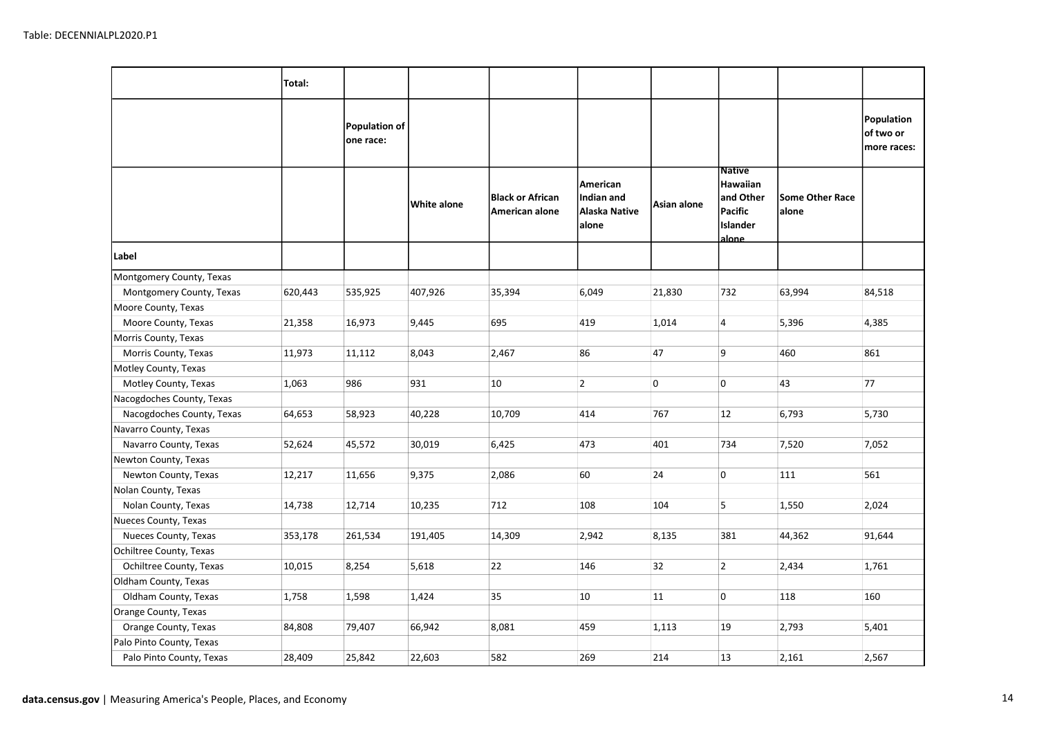|                           | Total:  |                                   |             |                                           |                                                  |             |                                                                        |                                 |                                        |
|---------------------------|---------|-----------------------------------|-------------|-------------------------------------------|--------------------------------------------------|-------------|------------------------------------------------------------------------|---------------------------------|----------------------------------------|
|                           |         | <b>Population of</b><br>one race: |             |                                           |                                                  |             |                                                                        |                                 | Population<br>of two or<br>more races: |
|                           |         |                                   | White alone | <b>Black or African</b><br>American alone | American<br>Indian and<br>Alaska Native<br>alone | Asian alone | <b>Native</b><br>Hawaiian<br>and Other<br>Pacific<br>Islander<br>alone | <b>Some Other Race</b><br>alone |                                        |
| Label                     |         |                                   |             |                                           |                                                  |             |                                                                        |                                 |                                        |
| Montgomery County, Texas  |         |                                   |             |                                           |                                                  |             |                                                                        |                                 |                                        |
| Montgomery County, Texas  | 620,443 | 535,925                           | 407,926     | 35,394                                    | 6,049                                            | 21,830      | 732                                                                    | 63,994                          | 84,518                                 |
| Moore County, Texas       |         |                                   |             |                                           |                                                  |             |                                                                        |                                 |                                        |
| Moore County, Texas       | 21,358  | 16,973                            | 9,445       | 695                                       | 419                                              | 1,014       | $\overline{4}$                                                         | 5,396                           | 4,385                                  |
| Morris County, Texas      |         |                                   |             |                                           |                                                  |             |                                                                        |                                 |                                        |
| Morris County, Texas      | 11,973  | 11,112                            | 8,043       | 2,467                                     | 86                                               | 47          | 9                                                                      | 460                             | 861                                    |
| Motley County, Texas      |         |                                   |             |                                           |                                                  |             |                                                                        |                                 |                                        |
| Motley County, Texas      | 1,063   | 986                               | 931         | 10                                        | $\overline{2}$                                   | 0           | 0                                                                      | 43                              | 77                                     |
| Nacogdoches County, Texas |         |                                   |             |                                           |                                                  |             |                                                                        |                                 |                                        |
| Nacogdoches County, Texas | 64,653  | 58,923                            | 40,228      | 10,709                                    | 414                                              | 767         | 12                                                                     | 6,793                           | 5,730                                  |
| Navarro County, Texas     |         |                                   |             |                                           |                                                  |             |                                                                        |                                 |                                        |
| Navarro County, Texas     | 52,624  | 45,572                            | 30,019      | 6,425                                     | 473                                              | 401         | 734                                                                    | 7,520                           | 7,052                                  |
| Newton County, Texas      |         |                                   |             |                                           |                                                  |             |                                                                        |                                 |                                        |
| Newton County, Texas      | 12,217  | 11,656                            | 9,375       | 2,086                                     | 60                                               | 24          | 0                                                                      | 111                             | 561                                    |
| Nolan County, Texas       |         |                                   |             |                                           |                                                  |             |                                                                        |                                 |                                        |
| Nolan County, Texas       | 14,738  | 12,714                            | 10,235      | 712                                       | 108                                              | 104         | 5                                                                      | 1,550                           | 2,024                                  |
| Nueces County, Texas      |         |                                   |             |                                           |                                                  |             |                                                                        |                                 |                                        |
| Nueces County, Texas      | 353,178 | 261,534                           | 191,405     | 14,309                                    | 2,942                                            | 8,135       | 381                                                                    | 44,362                          | 91,644                                 |
| Ochiltree County, Texas   |         |                                   |             |                                           |                                                  |             |                                                                        |                                 |                                        |
| Ochiltree County, Texas   | 10,015  | 8,254                             | 5,618       | 22                                        | 146                                              | 32          | $\overline{2}$                                                         | 2,434                           | 1,761                                  |
| Oldham County, Texas      |         |                                   |             |                                           |                                                  |             |                                                                        |                                 |                                        |
| Oldham County, Texas      | 1,758   | 1,598                             | 1,424       | 35                                        | 10                                               | 11          | 0                                                                      | 118                             | 160                                    |
| Orange County, Texas      |         |                                   |             |                                           |                                                  |             |                                                                        |                                 |                                        |
| Orange County, Texas      | 84,808  | 79,407                            | 66,942      | 8,081                                     | 459                                              | 1,113       | 19                                                                     | 2,793                           | 5,401                                  |
| Palo Pinto County, Texas  |         |                                   |             |                                           |                                                  |             |                                                                        |                                 |                                        |
| Palo Pinto County, Texas  | 28,409  | 25,842                            | 22,603      | 582                                       | 269                                              | 214         | 13                                                                     | 2,161                           | 2,567                                  |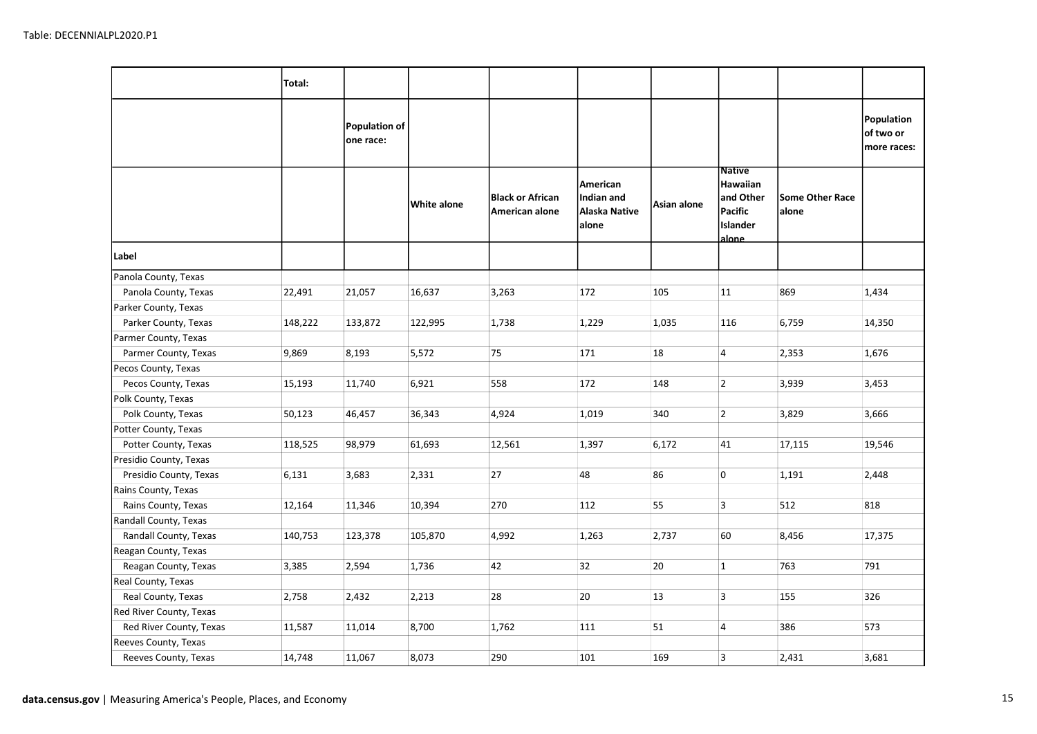|                         | Total:  |                            |             |                                           |                                                  |             |                                                                        |                                 |                                        |
|-------------------------|---------|----------------------------|-------------|-------------------------------------------|--------------------------------------------------|-------------|------------------------------------------------------------------------|---------------------------------|----------------------------------------|
|                         |         | Population of<br>one race: |             |                                           |                                                  |             |                                                                        |                                 | Population<br>of two or<br>more races: |
|                         |         |                            | White alone | <b>Black or African</b><br>American alone | American<br>Indian and<br>Alaska Native<br>alone | Asian alone | <b>Native</b><br>Hawaiian<br>and Other<br>Pacific<br>Islander<br>alone | <b>Some Other Race</b><br>alone |                                        |
| Label                   |         |                            |             |                                           |                                                  |             |                                                                        |                                 |                                        |
| Panola County, Texas    |         |                            |             |                                           |                                                  |             |                                                                        |                                 |                                        |
| Panola County, Texas    | 22,491  | 21,057                     | 16,637      | 3,263                                     | 172                                              | 105         | 11                                                                     | 869                             | 1,434                                  |
| Parker County, Texas    |         |                            |             |                                           |                                                  |             |                                                                        |                                 |                                        |
| Parker County, Texas    | 148,222 | 133,872                    | 122,995     | 1,738                                     | 1,229                                            | 1,035       | 116                                                                    | 6,759                           | 14,350                                 |
| Parmer County, Texas    |         |                            |             |                                           |                                                  |             |                                                                        |                                 |                                        |
| Parmer County, Texas    | 9,869   | 8,193                      | 5,572       | 75                                        | 171                                              | 18          | $\overline{4}$                                                         | 2,353                           | 1,676                                  |
| Pecos County, Texas     |         |                            |             |                                           |                                                  |             |                                                                        |                                 |                                        |
| Pecos County, Texas     | 15,193  | 11,740                     | 6,921       | 558                                       | 172                                              | 148         | $\overline{2}$                                                         | 3,939                           | 3,453                                  |
| Polk County, Texas      |         |                            |             |                                           |                                                  |             |                                                                        |                                 |                                        |
| Polk County, Texas      | 50,123  | 46,457                     | 36,343      | 4,924                                     | 1,019                                            | 340         | $\overline{2}$                                                         | 3,829                           | 3,666                                  |
| Potter County, Texas    |         |                            |             |                                           |                                                  |             |                                                                        |                                 |                                        |
| Potter County, Texas    | 118,525 | 98,979                     | 61,693      | 12,561                                    | 1,397                                            | 6,172       | 41                                                                     | 17,115                          | 19,546                                 |
| Presidio County, Texas  |         |                            |             |                                           |                                                  |             |                                                                        |                                 |                                        |
| Presidio County, Texas  | 6,131   | 3,683                      | 2,331       | 27                                        | 48                                               | 86          | 0                                                                      | 1,191                           | 2,448                                  |
| Rains County, Texas     |         |                            |             |                                           |                                                  |             |                                                                        |                                 |                                        |
| Rains County, Texas     | 12,164  | 11,346                     | 10,394      | 270                                       | 112                                              | 55          | $\overline{3}$                                                         | 512                             | 818                                    |
| Randall County, Texas   |         |                            |             |                                           |                                                  |             |                                                                        |                                 |                                        |
| Randall County, Texas   | 140,753 | 123,378                    | 105,870     | 4,992                                     | 1,263                                            | 2,737       | 60                                                                     | 8,456                           | 17,375                                 |
| Reagan County, Texas    |         |                            |             |                                           |                                                  |             |                                                                        |                                 |                                        |
| Reagan County, Texas    | 3,385   | 2,594                      | 1,736       | 42                                        | 32                                               | 20          | $\mathbf{1}$                                                           | 763                             | 791                                    |
| Real County, Texas      |         |                            |             |                                           |                                                  |             |                                                                        |                                 |                                        |
| Real County, Texas      | 2,758   | 2,432                      | 2,213       | 28                                        | 20                                               | 13          | $\overline{3}$                                                         | 155                             | 326                                    |
| Red River County, Texas |         |                            |             |                                           |                                                  |             |                                                                        |                                 |                                        |
| Red River County, Texas | 11,587  | 11,014                     | 8,700       | 1,762                                     | 111                                              | 51          | $\overline{4}$                                                         | 386                             | 573                                    |
| Reeves County, Texas    |         |                            |             |                                           |                                                  |             |                                                                        |                                 |                                        |
| Reeves County, Texas    | 14,748  | 11,067                     | 8,073       | 290                                       | 101                                              | 169         | 3                                                                      | 2,431                           | 3,681                                  |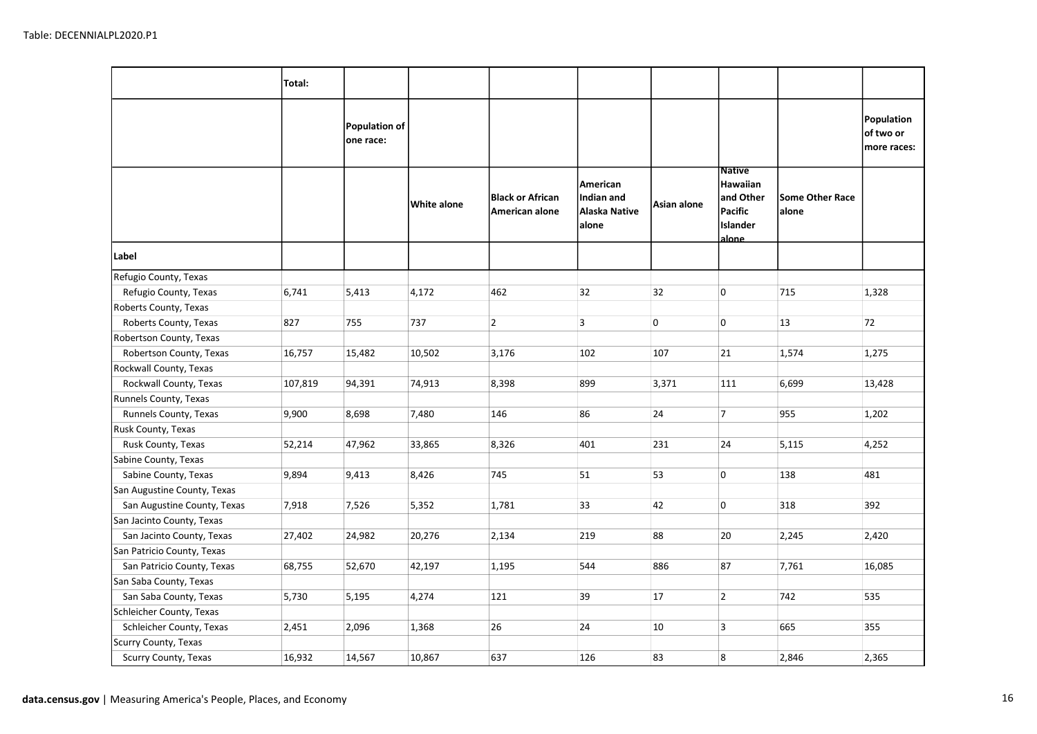|                             | Total:  |                            |             |                                           |                                                  |             |                                                                         |                                 |                                        |
|-----------------------------|---------|----------------------------|-------------|-------------------------------------------|--------------------------------------------------|-------------|-------------------------------------------------------------------------|---------------------------------|----------------------------------------|
|                             |         | Population of<br>one race: |             |                                           |                                                  |             |                                                                         |                                 | Population<br>of two or<br>more races: |
|                             |         |                            | White alone | <b>Black or African</b><br>American alone | American<br>Indian and<br>Alaska Native<br>alone | Asian alone | <b>Native</b><br>Hawaiian<br>and Other<br>Pacific<br>Islander<br>alone_ | <b>Some Other Race</b><br>alone |                                        |
| Label                       |         |                            |             |                                           |                                                  |             |                                                                         |                                 |                                        |
| Refugio County, Texas       |         |                            |             |                                           |                                                  |             |                                                                         |                                 |                                        |
| Refugio County, Texas       | 6,741   | 5,413                      | 4,172       | 462                                       | 32                                               | 32          | $\overline{0}$                                                          | 715                             | 1,328                                  |
| Roberts County, Texas       |         |                            |             |                                           |                                                  |             |                                                                         |                                 |                                        |
| Roberts County, Texas       | 827     | 755                        | 737         | $\overline{2}$                            | 3                                                | 0           | 0                                                                       | 13                              | 72                                     |
| Robertson County, Texas     |         |                            |             |                                           |                                                  |             |                                                                         |                                 |                                        |
| Robertson County, Texas     | 16,757  | 15,482                     | 10,502      | 3,176                                     | 102                                              | 107         | 21                                                                      | 1,574                           | 1,275                                  |
| Rockwall County, Texas      |         |                            |             |                                           |                                                  |             |                                                                         |                                 |                                        |
| Rockwall County, Texas      | 107,819 | 94,391                     | 74,913      | 8,398                                     | 899                                              | 3,371       | 111                                                                     | 6,699                           | 13,428                                 |
| Runnels County, Texas       |         |                            |             |                                           |                                                  |             |                                                                         |                                 |                                        |
| Runnels County, Texas       | 9,900   | 8,698                      | 7,480       | 146                                       | 86                                               | 24          | $\overline{7}$                                                          | 955                             | 1,202                                  |
| Rusk County, Texas          |         |                            |             |                                           |                                                  |             |                                                                         |                                 |                                        |
| Rusk County, Texas          | 52,214  | 47,962                     | 33,865      | 8,326                                     | 401                                              | 231         | 24                                                                      | 5,115                           | 4,252                                  |
| Sabine County, Texas        |         |                            |             |                                           |                                                  |             |                                                                         |                                 |                                        |
| Sabine County, Texas        | 9,894   | 9,413                      | 8,426       | 745                                       | 51                                               | 53          | 0                                                                       | 138                             | 481                                    |
| San Augustine County, Texas |         |                            |             |                                           |                                                  |             |                                                                         |                                 |                                        |
| San Augustine County, Texas | 7,918   | 7,526                      | 5,352       | 1,781                                     | 33                                               | 42          | $\overline{0}$                                                          | 318                             | 392                                    |
| San Jacinto County, Texas   |         |                            |             |                                           |                                                  |             |                                                                         |                                 |                                        |
| San Jacinto County, Texas   | 27,402  | 24,982                     | 20,276      | 2,134                                     | 219                                              | 88          | 20                                                                      | 2,245                           | 2,420                                  |
| San Patricio County, Texas  |         |                            |             |                                           |                                                  |             |                                                                         |                                 |                                        |
| San Patricio County, Texas  | 68,755  | 52,670                     | 42,197      | 1,195                                     | 544                                              | 886         | 87                                                                      | 7,761                           | 16,085                                 |
| San Saba County, Texas      |         |                            |             |                                           |                                                  |             |                                                                         |                                 |                                        |
| San Saba County, Texas      | 5,730   | 5,195                      | 4,274       | 121                                       | 39                                               | 17          | $\overline{2}$                                                          | 742                             | 535                                    |
| Schleicher County, Texas    |         |                            |             |                                           |                                                  |             |                                                                         |                                 |                                        |
| Schleicher County, Texas    | 2,451   | 2,096                      | 1,368       | 26                                        | 24                                               | 10          | $\overline{3}$                                                          | 665                             | 355                                    |
| Scurry County, Texas        |         |                            |             |                                           |                                                  |             |                                                                         |                                 |                                        |
| Scurry County, Texas        | 16,932  | 14,567                     | 10,867      | 637                                       | 126                                              | 83          | 8                                                                       | 2,846                           | 2,365                                  |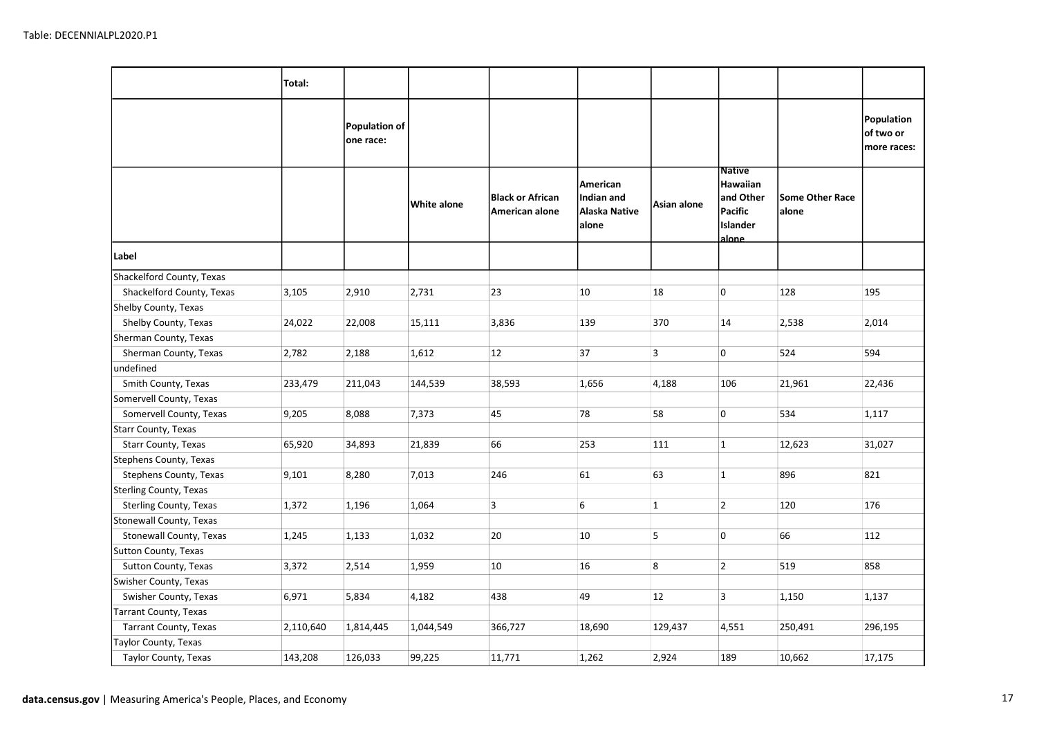|                               | Total:    |                                   |             |                                           |                                                  |              |                                                                        |                                 |                                        |
|-------------------------------|-----------|-----------------------------------|-------------|-------------------------------------------|--------------------------------------------------|--------------|------------------------------------------------------------------------|---------------------------------|----------------------------------------|
|                               |           | <b>Population of</b><br>one race: |             |                                           |                                                  |              |                                                                        |                                 | Population<br>of two or<br>more races: |
|                               |           |                                   | White alone | <b>Black or African</b><br>American alone | American<br>Indian and<br>Alaska Native<br>alone | Asian alone  | <b>Native</b><br>Hawaiian<br>and Other<br>Pacific<br>Islander<br>alone | <b>Some Other Race</b><br>alone |                                        |
| Label                         |           |                                   |             |                                           |                                                  |              |                                                                        |                                 |                                        |
| Shackelford County, Texas     |           |                                   |             |                                           |                                                  |              |                                                                        |                                 |                                        |
| Shackelford County, Texas     | 3,105     | 2,910                             | 2,731       | 23                                        | 10                                               | 18           | 0                                                                      | 128                             | 195                                    |
| Shelby County, Texas          |           |                                   |             |                                           |                                                  |              |                                                                        |                                 |                                        |
| Shelby County, Texas          | 24,022    | 22,008                            | 15,111      | 3,836                                     | 139                                              | 370          | 14                                                                     | 2,538                           | 2,014                                  |
| Sherman County, Texas         |           |                                   |             |                                           |                                                  |              |                                                                        |                                 |                                        |
| Sherman County, Texas         | 2,782     | 2,188                             | 1,612       | 12                                        | 37                                               | 3            | 0                                                                      | 524                             | 594                                    |
| undefined                     |           |                                   |             |                                           |                                                  |              |                                                                        |                                 |                                        |
| Smith County, Texas           | 233,479   | 211,043                           | 144,539     | 38,593                                    | 1,656                                            | 4,188        | 106                                                                    | 21,961                          | 22,436                                 |
| Somervell County, Texas       |           |                                   |             |                                           |                                                  |              |                                                                        |                                 |                                        |
| Somervell County, Texas       | 9,205     | 8,088                             | 7,373       | 45                                        | 78                                               | 58           | 0                                                                      | 534                             | 1,117                                  |
| Starr County, Texas           |           |                                   |             |                                           |                                                  |              |                                                                        |                                 |                                        |
| Starr County, Texas           | 65,920    | 34,893                            | 21,839      | 66                                        | 253                                              | 111          | $\mathbf{1}$                                                           | 12,623                          | 31,027                                 |
| Stephens County, Texas        |           |                                   |             |                                           |                                                  |              |                                                                        |                                 |                                        |
| Stephens County, Texas        | 9,101     | 8,280                             | 7,013       | 246                                       | 61                                               | 63           | $\mathbf{1}$                                                           | 896                             | 821                                    |
| <b>Sterling County, Texas</b> |           |                                   |             |                                           |                                                  |              |                                                                        |                                 |                                        |
| Sterling County, Texas        | 1,372     | 1,196                             | 1,064       | 3                                         | 6                                                | $\mathbf{1}$ | $\overline{2}$                                                         | 120                             | 176                                    |
| Stonewall County, Texas       |           |                                   |             |                                           |                                                  |              |                                                                        |                                 |                                        |
| Stonewall County, Texas       | 1,245     | 1,133                             | 1,032       | 20                                        | 10                                               | 5            | 0                                                                      | 66                              | 112                                    |
| Sutton County, Texas          |           |                                   |             |                                           |                                                  |              |                                                                        |                                 |                                        |
| Sutton County, Texas          | 3,372     | 2,514                             | 1,959       | 10                                        | 16                                               | 8            | $\overline{2}$                                                         | 519                             | 858                                    |
| Swisher County, Texas         |           |                                   |             |                                           |                                                  |              |                                                                        |                                 |                                        |
| Swisher County, Texas         | 6,971     | 5,834                             | 4,182       | 438                                       | 49                                               | 12           | $\overline{3}$                                                         | 1,150                           | 1,137                                  |
| Tarrant County, Texas         |           |                                   |             |                                           |                                                  |              |                                                                        |                                 |                                        |
| Tarrant County, Texas         | 2,110,640 | 1,814,445                         | 1,044,549   | 366,727                                   | 18,690                                           | 129,437      | 4,551                                                                  | 250,491                         | 296,195                                |
| Taylor County, Texas          |           |                                   |             |                                           |                                                  |              |                                                                        |                                 |                                        |
| Taylor County, Texas          | 143,208   | 126,033                           | 99,225      | 11,771                                    | 1,262                                            | 2,924        | 189                                                                    | 10,662                          | 17,175                                 |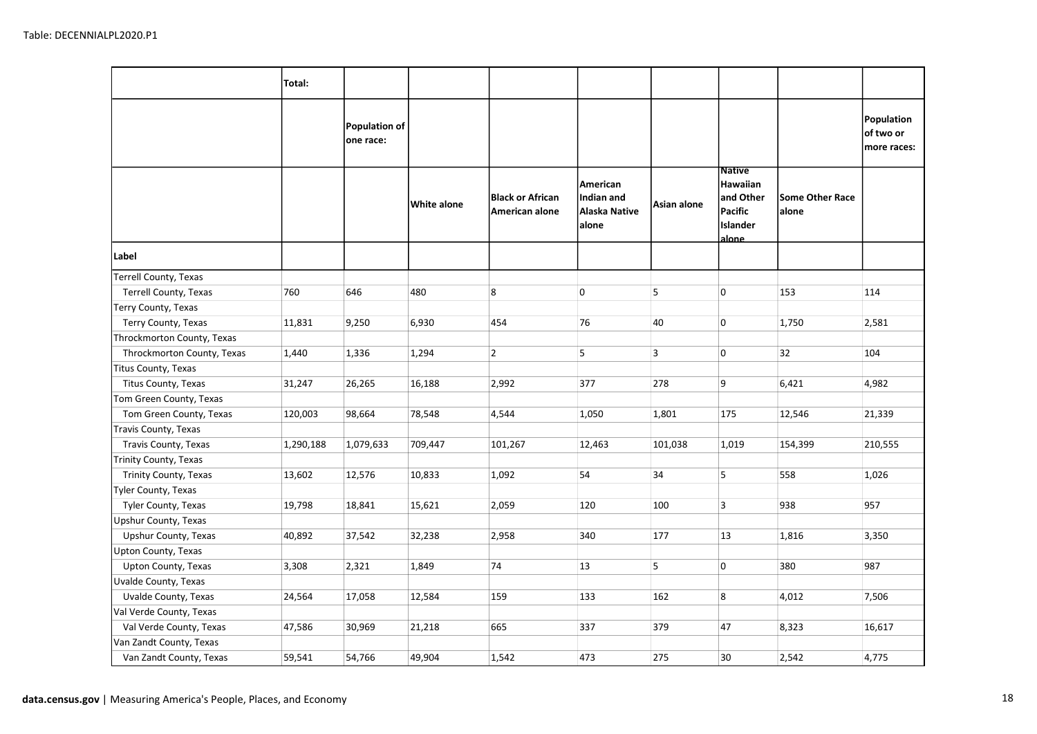|                            | Total:    |                                   |             |                                           |                                                  |             |                                                                         |                                 |                                        |
|----------------------------|-----------|-----------------------------------|-------------|-------------------------------------------|--------------------------------------------------|-------------|-------------------------------------------------------------------------|---------------------------------|----------------------------------------|
|                            |           | <b>Population of</b><br>one race: |             |                                           |                                                  |             |                                                                         |                                 | Population<br>of two or<br>more races: |
|                            |           |                                   | White alone | <b>Black or African</b><br>American alone | American<br>Indian and<br>Alaska Native<br>alone | Asian alone | <b>Native</b><br>Hawaiian<br>and Other<br>Pacific<br>Islander<br>alone. | <b>Some Other Race</b><br>alone |                                        |
| Label                      |           |                                   |             |                                           |                                                  |             |                                                                         |                                 |                                        |
| Terrell County, Texas      |           |                                   |             |                                           |                                                  |             |                                                                         |                                 |                                        |
| Terrell County, Texas      | 760       | 646                               | 480         | 8                                         | 0                                                | 5           | 0                                                                       | 153                             | 114                                    |
| Terry County, Texas        |           |                                   |             |                                           |                                                  |             |                                                                         |                                 |                                        |
| Terry County, Texas        | 11,831    | 9,250                             | 6,930       | 454                                       | 76                                               | 40          | 0                                                                       | 1,750                           | 2,581                                  |
| Throckmorton County, Texas |           |                                   |             |                                           |                                                  |             |                                                                         |                                 |                                        |
| Throckmorton County, Texas | 1,440     | 1,336                             | 1,294       | $\overline{2}$                            | 5                                                | 3           | 0                                                                       | 32                              | 104                                    |
| Titus County, Texas        |           |                                   |             |                                           |                                                  |             |                                                                         |                                 |                                        |
| Titus County, Texas        | 31,247    | 26,265                            | 16,188      | 2,992                                     | 377                                              | 278         | 9                                                                       | 6,421                           | 4,982                                  |
| Tom Green County, Texas    |           |                                   |             |                                           |                                                  |             |                                                                         |                                 |                                        |
| Tom Green County, Texas    | 120,003   | 98,664                            | 78,548      | 4,544                                     | 1,050                                            | 1,801       | 175                                                                     | 12,546                          | 21,339                                 |
| Travis County, Texas       |           |                                   |             |                                           |                                                  |             |                                                                         |                                 |                                        |
| Travis County, Texas       | 1,290,188 | 1,079,633                         | 709,447     | 101,267                                   | 12,463                                           | 101,038     | 1,019                                                                   | 154,399                         | 210,555                                |
| Trinity County, Texas      |           |                                   |             |                                           |                                                  |             |                                                                         |                                 |                                        |
| Trinity County, Texas      | 13,602    | 12,576                            | 10,833      | 1,092                                     | 54                                               | 34          | 5                                                                       | 558                             | 1,026                                  |
| Tyler County, Texas        |           |                                   |             |                                           |                                                  |             |                                                                         |                                 |                                        |
| Tyler County, Texas        | 19,798    | 18,841                            | 15,621      | 2,059                                     | 120                                              | 100         | $\overline{3}$                                                          | 938                             | 957                                    |
| Upshur County, Texas       |           |                                   |             |                                           |                                                  |             |                                                                         |                                 |                                        |
| Upshur County, Texas       | 40,892    | 37,542                            | 32,238      | 2,958                                     | 340                                              | 177         | 13                                                                      | 1,816                           | 3,350                                  |
| Upton County, Texas        |           |                                   |             |                                           |                                                  |             |                                                                         |                                 |                                        |
| Upton County, Texas        | 3,308     | 2,321                             | 1,849       | 74                                        | 13                                               | 5           | 0                                                                       | 380                             | 987                                    |
| Uvalde County, Texas       |           |                                   |             |                                           |                                                  |             |                                                                         |                                 |                                        |
| Uvalde County, Texas       | 24,564    | 17,058                            | 12,584      | 159                                       | 133                                              | 162         | 8                                                                       | 4,012                           | 7,506                                  |
| Val Verde County, Texas    |           |                                   |             |                                           |                                                  |             |                                                                         |                                 |                                        |
| Val Verde County, Texas    | 47,586    | 30,969                            | 21,218      | 665                                       | 337                                              | 379         | 47                                                                      | 8,323                           | 16,617                                 |
| Van Zandt County, Texas    |           |                                   |             |                                           |                                                  |             |                                                                         |                                 |                                        |
| Van Zandt County, Texas    | 59,541    | 54,766                            | 49,904      | 1,542                                     | 473                                              | 275         | 30                                                                      | 2,542                           | 4,775                                  |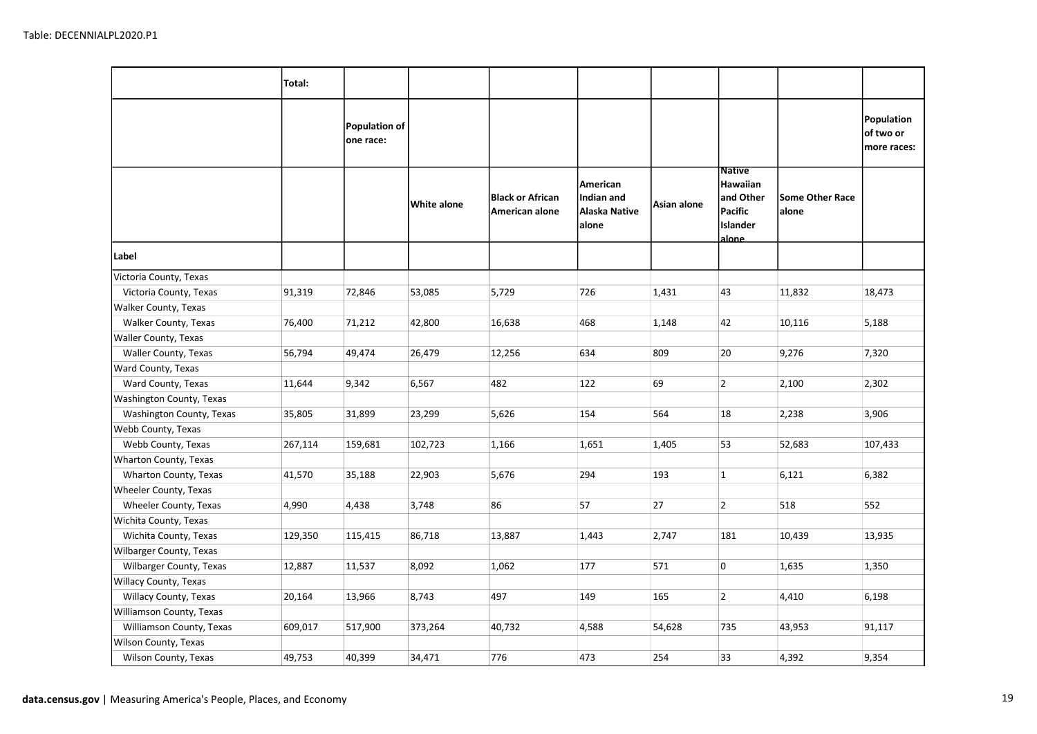|                          | Total:  |                                   |             |                                           |                                                  |             |                                                                        |                                 |                                        |
|--------------------------|---------|-----------------------------------|-------------|-------------------------------------------|--------------------------------------------------|-------------|------------------------------------------------------------------------|---------------------------------|----------------------------------------|
|                          |         | <b>Population of</b><br>one race: |             |                                           |                                                  |             |                                                                        |                                 | Population<br>of two or<br>more races: |
|                          |         |                                   | White alone | <b>Black or African</b><br>American alone | American<br>Indian and<br>Alaska Native<br>alone | Asian alone | <b>Native</b><br>Hawaiian<br>and Other<br>Pacific<br>Islander<br>alone | <b>Some Other Race</b><br>alone |                                        |
| Label                    |         |                                   |             |                                           |                                                  |             |                                                                        |                                 |                                        |
| Victoria County, Texas   |         |                                   |             |                                           |                                                  |             |                                                                        |                                 |                                        |
| Victoria County, Texas   | 91,319  | 72,846                            | 53,085      | 5,729                                     | 726                                              | 1,431       | 43                                                                     | 11,832                          | 18,473                                 |
| Walker County, Texas     |         |                                   |             |                                           |                                                  |             |                                                                        |                                 |                                        |
| Walker County, Texas     | 76,400  | 71,212                            | 42,800      | 16,638                                    | 468                                              | 1,148       | 42                                                                     | 10,116                          | 5,188                                  |
| Waller County, Texas     |         |                                   |             |                                           |                                                  |             |                                                                        |                                 |                                        |
| Waller County, Texas     | 56,794  | 49,474                            | 26,479      | 12,256                                    | 634                                              | 809         | 20                                                                     | 9,276                           | 7,320                                  |
| Ward County, Texas       |         |                                   |             |                                           |                                                  |             |                                                                        |                                 |                                        |
| Ward County, Texas       | 11,644  | 9,342                             | 6,567       | 482                                       | 122                                              | 69          | $\overline{2}$                                                         | 2,100                           | 2,302                                  |
| Washington County, Texas |         |                                   |             |                                           |                                                  |             |                                                                        |                                 |                                        |
| Washington County, Texas | 35,805  | 31,899                            | 23,299      | 5,626                                     | 154                                              | 564         | 18                                                                     | 2,238                           | 3,906                                  |
| Webb County, Texas       |         |                                   |             |                                           |                                                  |             |                                                                        |                                 |                                        |
| Webb County, Texas       | 267,114 | 159,681                           | 102,723     | 1,166                                     | 1,651                                            | 1,405       | 53                                                                     | 52,683                          | 107,433                                |
| Wharton County, Texas    |         |                                   |             |                                           |                                                  |             |                                                                        |                                 |                                        |
| Wharton County, Texas    | 41,570  | 35,188                            | 22,903      | 5,676                                     | 294                                              | 193         | $\mathbf{1}$                                                           | 6,121                           | 6,382                                  |
| Wheeler County, Texas    |         |                                   |             |                                           |                                                  |             |                                                                        |                                 |                                        |
| Wheeler County, Texas    | 4,990   | 4,438                             | 3,748       | 86                                        | 57                                               | 27          | $\overline{2}$                                                         | 518                             | 552                                    |
| Wichita County, Texas    |         |                                   |             |                                           |                                                  |             |                                                                        |                                 |                                        |
| Wichita County, Texas    | 129,350 | 115,415                           | 86,718      | 13,887                                    | 1,443                                            | 2,747       | 181                                                                    | 10,439                          | 13,935                                 |
| Wilbarger County, Texas  |         |                                   |             |                                           |                                                  |             |                                                                        |                                 |                                        |
| Wilbarger County, Texas  | 12,887  | 11,537                            | 8,092       | 1,062                                     | 177                                              | 571         | 0                                                                      | 1,635                           | 1,350                                  |
| Willacy County, Texas    |         |                                   |             |                                           |                                                  |             |                                                                        |                                 |                                        |
| Willacy County, Texas    | 20,164  | 13,966                            | 8,743       | 497                                       | 149                                              | 165         | $\overline{2}$                                                         | 4,410                           | 6,198                                  |
| Williamson County, Texas |         |                                   |             |                                           |                                                  |             |                                                                        |                                 |                                        |
| Williamson County, Texas | 609,017 | 517,900                           | 373,264     | 40,732                                    | 4,588                                            | 54,628      | 735                                                                    | 43,953                          | 91,117                                 |
| Wilson County, Texas     |         |                                   |             |                                           |                                                  |             |                                                                        |                                 |                                        |
| Wilson County, Texas     | 49,753  | 40,399                            | 34,471      | 776                                       | 473                                              | 254         | 33                                                                     | 4,392                           | 9,354                                  |